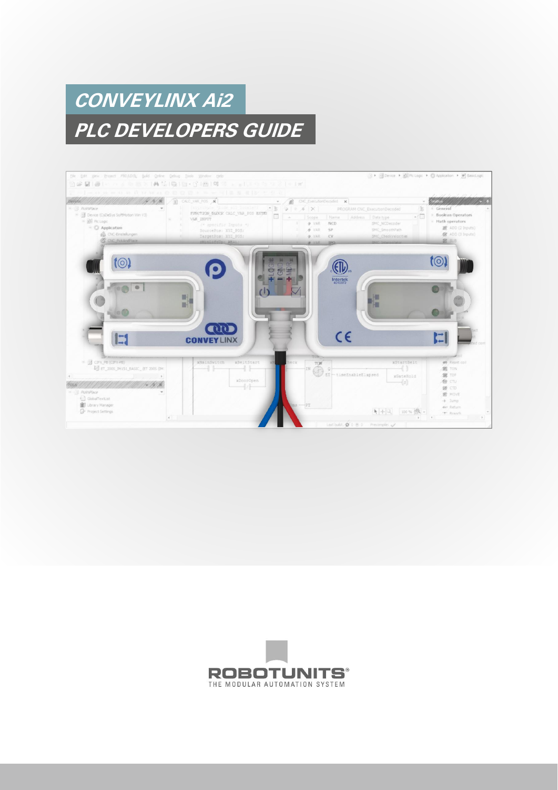# **CONVEYLINX Ai2 PLC DEVELOPERS GUIDE**



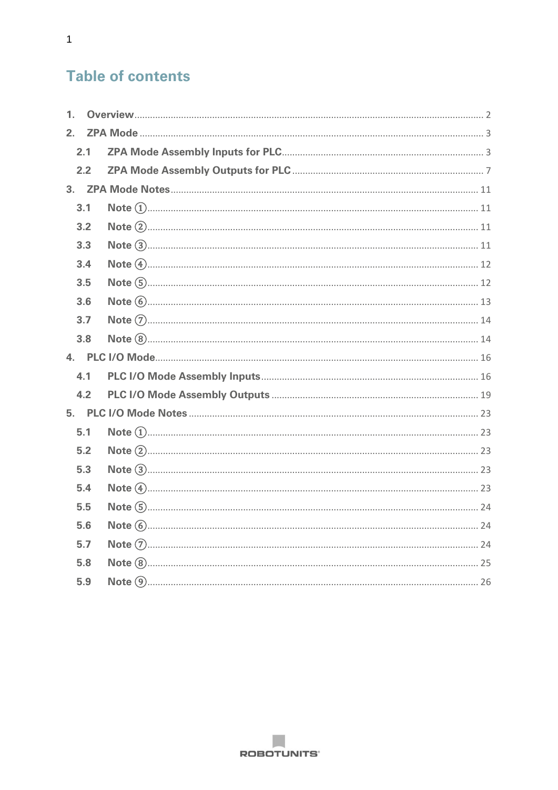# **Table of contents**

| 1 <sub>1</sub> |  |  |
|----------------|--|--|
|                |  |  |
| 2.1            |  |  |
| 2.2            |  |  |
|                |  |  |
| 3.1            |  |  |
| 3.2            |  |  |
| 3.3            |  |  |
| 3.4            |  |  |
| 3.5            |  |  |
| 3.6            |  |  |
| 3.7            |  |  |
| 3.8            |  |  |
|                |  |  |
| 4.1            |  |  |
| 4.2            |  |  |
|                |  |  |
| 5.1            |  |  |
| 5.2            |  |  |
| 5.3            |  |  |
| 5.4            |  |  |
| 5.5            |  |  |
| 5.6            |  |  |
| 5.7            |  |  |
| 5.8            |  |  |
| 5.9            |  |  |
|                |  |  |

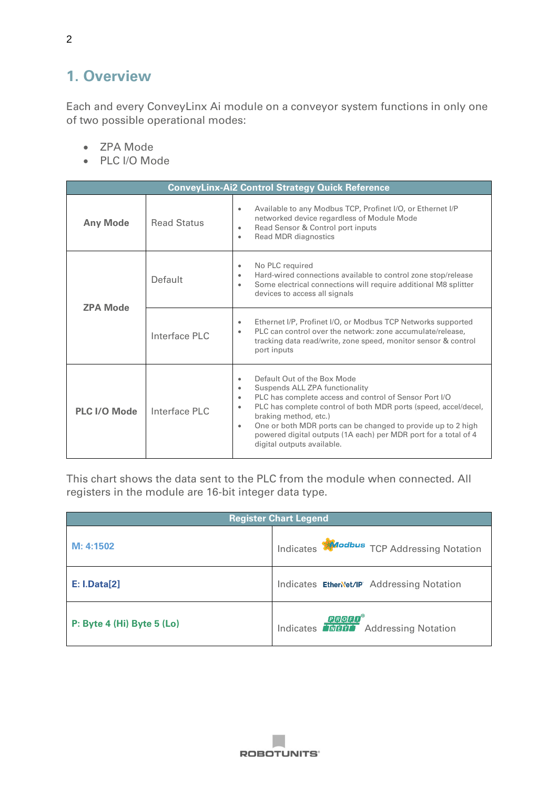# <span id="page-2-0"></span>**1. Overview**

Each and every ConveyLinx Ai module on a conveyor system functions in only one of two possible operational modes:

- ZPA Mode
- PLC I/O Mode

| <b>ConveyLinx-Ai2 Control Strategy Quick Reference</b> |                    |                                                                                                                                                                                                                                                                                                                                                                                                                                                       |  |  |
|--------------------------------------------------------|--------------------|-------------------------------------------------------------------------------------------------------------------------------------------------------------------------------------------------------------------------------------------------------------------------------------------------------------------------------------------------------------------------------------------------------------------------------------------------------|--|--|
| <b>Any Mode</b>                                        | <b>Read Status</b> | Available to any Modbus TCP, Profinet I/O, or Ethernet I/P<br>$\bullet$<br>networked device regardless of Module Mode<br>Read Sensor & Control port inputs<br>$\bullet$<br>Read MDR diagnostics<br>$\bullet$                                                                                                                                                                                                                                          |  |  |
| <b>ZPA Mode</b>                                        | Default            | No PLC required<br>$\bullet$<br>Hard-wired connections available to control zone stop/release<br>$\bullet$<br>Some electrical connections will require additional M8 splitter<br>$\bullet$<br>devices to access all signals                                                                                                                                                                                                                           |  |  |
|                                                        | Interface PLC      | Ethernet I/P, Profinet I/O, or Modbus TCP Networks supported<br>$\bullet$<br>PLC can control over the network: zone accumulate/release,<br>$\bullet$<br>tracking data read/write, zone speed, monitor sensor & control<br>port inputs                                                                                                                                                                                                                 |  |  |
| <b>PLC I/O Mode</b>                                    | Interface PLC      | Default Out of the Box Mode<br>$\bullet$<br>Suspends ALL ZPA functionality<br>$\bullet$<br>PLC has complete access and control of Sensor Port I/O<br>$\bullet$<br>PLC has complete control of both MDR ports (speed, accel/decel,<br>$\bullet$<br>braking method, etc.)<br>One or both MDR ports can be changed to provide up to 2 high<br>$\bullet$<br>powered digital outputs (1A each) per MDR port for a total of 4<br>digital outputs available. |  |  |

This chart shows the data sent to the PLC from the module when connected. All registers in the module are 16-bit integer data type.

| <b>Register Chart Legend</b> |                                                              |  |  |
|------------------------------|--------------------------------------------------------------|--|--|
| M: 4:1502                    | Indicates <b>Modbus</b> TCP Addressing Notation              |  |  |
| <b>E: I.Data[2]</b>          | Indicates EthenNet/IP Addressing Notation                    |  |  |
| P: Byte 4 (Hi) Byte 5 (Lo)   | <b>QQQQQ</b><br>Indicates <b>Trigger</b> Addressing Notation |  |  |

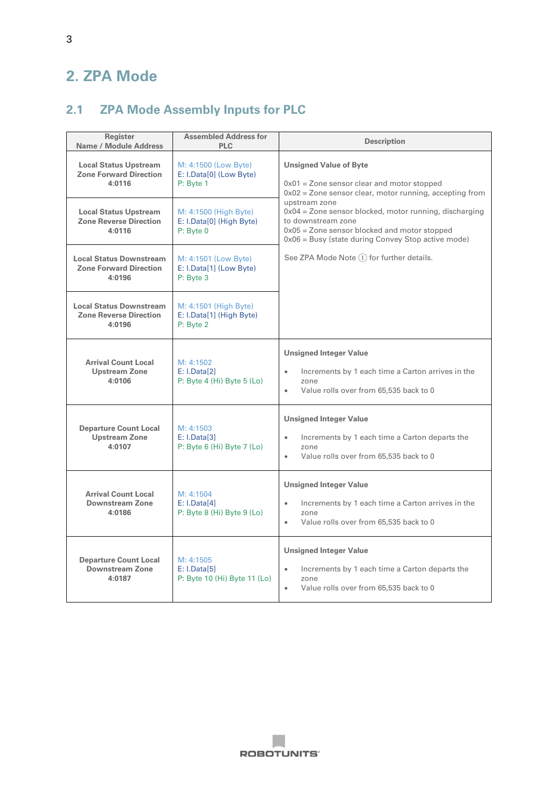# <span id="page-3-0"></span>**2. ZPA Mode**

# <span id="page-3-1"></span>**2.1 ZPA Mode Assembly Inputs for PLC**

| Register<br>Name / Module Address                                         | <b>Assembled Address for</b><br><b>PLC</b>                     | <b>Description</b>                                                                                                                                                                                                                                                                                                                                  |
|---------------------------------------------------------------------------|----------------------------------------------------------------|-----------------------------------------------------------------------------------------------------------------------------------------------------------------------------------------------------------------------------------------------------------------------------------------------------------------------------------------------------|
| <b>Local Status Upstream</b><br><b>Zone Forward Direction</b><br>4:0116   | M: 4:1500 (Low Byte)<br>E: I.Data[0] (Low Byte)<br>P: Byte 1   | <b>Unsigned Value of Byte</b><br>$0x01$ = Zone sensor clear and motor stopped<br>$0x02$ = Zone sensor clear, motor running, accepting from<br>upstream zone<br>0x04 = Zone sensor blocked, motor running, discharging<br>to downstream zone<br>$0x05$ = Zone sensor blocked and motor stopped<br>0x06 = Busy (state during Convey Stop active mode) |
| <b>Local Status Upstream</b><br><b>Zone Reverse Direction</b><br>4:0116   | M: 4:1500 (High Byte)<br>E: I.Data[0] (High Byte)<br>P: Byte 0 |                                                                                                                                                                                                                                                                                                                                                     |
| <b>Local Status Downstream</b><br><b>Zone Forward Direction</b><br>4:0196 | M: 4:1501 (Low Byte)<br>E: I.Data[1] (Low Byte)<br>P: Byte 3   | See ZPA Mode Note $(1)$ for further details.                                                                                                                                                                                                                                                                                                        |
| <b>Local Status Downstream</b><br><b>Zone Reverse Direction</b><br>4:0196 | M: 4:1501 (High Byte)<br>E: I.Data[1] (High Byte)<br>P: Byte 2 |                                                                                                                                                                                                                                                                                                                                                     |
| <b>Arrival Count Local</b><br><b>Upstream Zone</b><br>4:0106              | M: 4:1502<br>E: I.Data[2]<br>P: Byte $4$ (Hi) Byte $5$ (Lo)    | <b>Unsigned Integer Value</b><br>Increments by 1 each time a Carton arrives in the<br>$\bullet$<br>zone<br>Value rolls over from 65,535 back to 0<br>$\bullet$                                                                                                                                                                                      |
| <b>Departure Count Local</b><br><b>Upstream Zone</b><br>4:0107            | M: 4:1503<br>E: I.Data[3]<br>P: Byte 6 (Hi) Byte 7 (Lo)        | <b>Unsigned Integer Value</b><br>Increments by 1 each time a Carton departs the<br>$\bullet$<br>zone<br>Value rolls over from 65,535 back to 0<br>$\bullet$                                                                                                                                                                                         |
| <b>Arrival Count Local</b><br><b>Downstream Zone</b><br>4:0186            | M: 4:1504<br>E: I.Data[4]<br>$P: B$ yte 8 (Hi) Byte 9 (Lo)     | <b>Unsigned Integer Value</b><br>Increments by 1 each time a Carton arrives in the<br>$\bullet$<br>zone<br>Value rolls over from 65,535 back to 0<br>$\bullet$                                                                                                                                                                                      |
| <b>Departure Count Local</b><br>Downstream Zone<br>4:0187                 | M: 4:1505<br>E: I.Data[5]<br>P: Byte 10 (Hi) Byte 11 (Lo)      | <b>Unsigned Integer Value</b><br>Increments by 1 each time a Carton departs the<br>$\bullet$<br>zone<br>Value rolls over from 65,535 back to 0<br>$\bullet$                                                                                                                                                                                         |

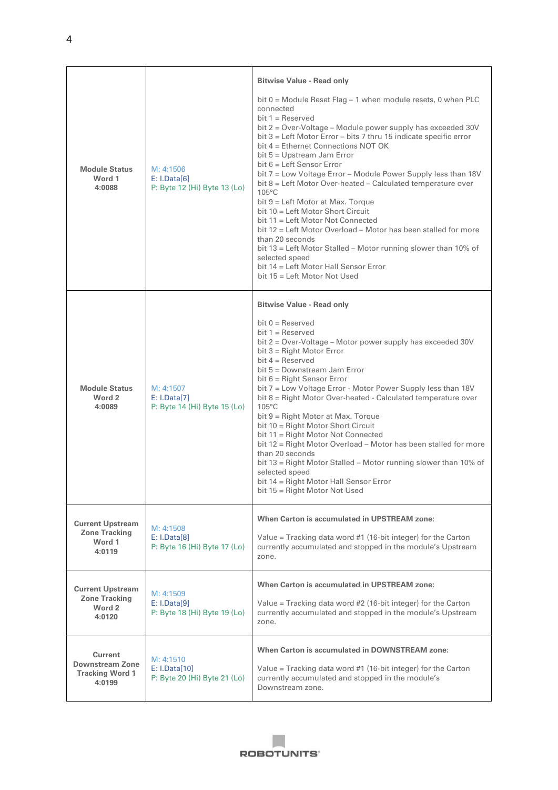|                                                                              |                                                            | <b>Bitwise Value - Read only</b><br>bit $0 =$ Module Reset Flag $-1$ when module resets, 0 when PLC<br>connected<br>bit $1 =$ Reserved<br>bit 2 = Over-Voltage - Module power supply has exceeded 30V<br>bit $3 =$ Left Motor Error – bits 7 thru 15 indicate specific error<br>bit $4 =$ Ethernet Connections NOT OK<br>bit 5 = Upstream Jam Error                                                                                                                                                                                                                                                                                                                                                                                          |
|------------------------------------------------------------------------------|------------------------------------------------------------|----------------------------------------------------------------------------------------------------------------------------------------------------------------------------------------------------------------------------------------------------------------------------------------------------------------------------------------------------------------------------------------------------------------------------------------------------------------------------------------------------------------------------------------------------------------------------------------------------------------------------------------------------------------------------------------------------------------------------------------------|
| <b>Module Status</b><br>Word 1<br>4:0088                                     | M: 4:1506<br>E: I.Data[6]<br>P: Byte 12 (Hi) Byte 13 (Lo)  | bit $6 =$ Left Sensor Error<br>bit 7 = Low Voltage Error - Module Power Supply less than 18V<br>bit 8 = Left Motor Over-heated - Calculated temperature over<br>$105^{\circ}$ C<br>bit $9 =$ Left Motor at Max. Torque<br>bit 10 = Left Motor Short Circuit<br>bit 11 = Left Motor Not Connected<br>bit 12 = Left Motor Overload – Motor has been stalled for more<br>than 20 seconds<br>bit 13 = Left Motor Stalled - Motor running slower than 10% of<br>selected speed<br>bit 14 = Left Motor Hall Sensor Error<br>bit 15 = Left Motor Not Used                                                                                                                                                                                           |
|                                                                              |                                                            | <b>Bitwise Value - Read only</b>                                                                                                                                                                                                                                                                                                                                                                                                                                                                                                                                                                                                                                                                                                             |
| <b>Module Status</b><br>Word 2<br>4:0089                                     | M: 4:1507<br>E: I.Data[7]<br>P: Byte 14 (Hi) Byte 15 (Lo)  | $bit 0 = Reserve$<br>bit $1 =$ Reserved<br>bit 2 = Over-Voltage - Motor power supply has exceeded 30V<br>bit $3 =$ Right Motor Error<br>bit $4 =$ Reserved<br>bit 5 = Downstream Jam Error<br>bit $6 =$ Right Sensor Error<br>bit 7 = Low Voltage Error - Motor Power Supply less than 18V<br>bit 8 = Right Motor Over-heated - Calculated temperature over<br>105°C<br>bit 9 = Right Motor at Max. Torque<br>bit 10 = Right Motor Short Circuit<br>bit 11 = Right Motor Not Connected<br>bit 12 = Right Motor Overload – Motor has been stalled for more<br>than 20 seconds<br>bit 13 = Right Motor Stalled - Motor running slower than 10% of<br>selected speed<br>bit 14 = Right Motor Hall Sensor Error<br>bit 15 = Right Motor Not Used |
| <b>Current Upstream</b><br><b>Zone Tracking</b><br>Word 1<br>4:0119          | M: 4:1508<br>E: I.Data[8]<br>P: Byte 16 (Hi) Byte 17 (Lo)  | When Carton is accumulated in UPSTREAM zone:<br>Value = Tracking data word #1 (16-bit integer) for the Carton<br>currently accumulated and stopped in the module's Upstream<br>zone.                                                                                                                                                                                                                                                                                                                                                                                                                                                                                                                                                         |
| <b>Current Upstream</b><br><b>Zone Tracking</b><br>Word 2<br>4:0120          | M: 4:1509<br>E: I.Data[9]<br>P: Byte 18 (Hi) Byte 19 (Lo)  | When Carton is accumulated in UPSTREAM zone:<br>Value = Tracking data word #2 (16-bit integer) for the Carton<br>currently accumulated and stopped in the module's Upstream<br>zone.                                                                                                                                                                                                                                                                                                                                                                                                                                                                                                                                                         |
| <b>Current</b><br><b>Downstream Zone</b><br><b>Tracking Word 1</b><br>4:0199 | M: 4:1510<br>E: I.Data[10]<br>P: Byte 20 (Hi) Byte 21 (Lo) | When Carton is accumulated in DOWNSTREAM zone:<br>Value = Tracking data word #1 (16-bit integer) for the Carton<br>currently accumulated and stopped in the module's<br>Downstream zone.                                                                                                                                                                                                                                                                                                                                                                                                                                                                                                                                                     |

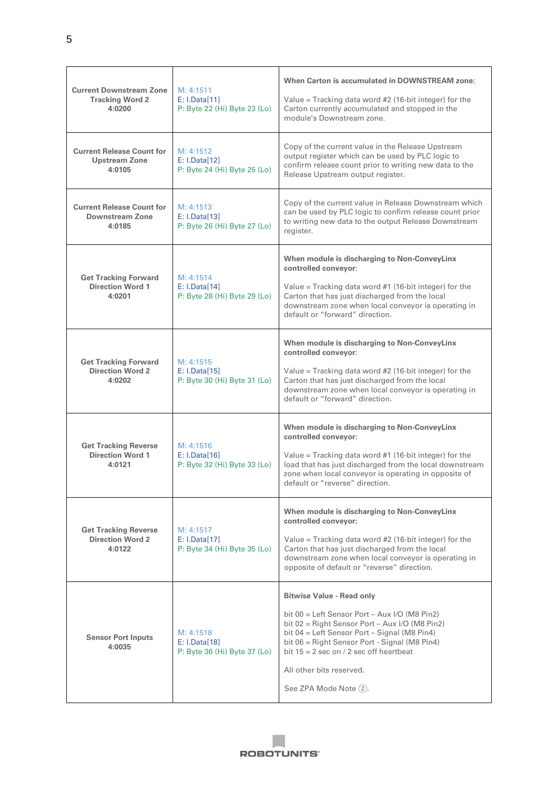| <b>Current Downstream Zone</b><br><b>Tracking Word 2</b><br>4:0200 | M: 4:1511<br>E: I.Data[11]<br>P: Byte 22 (Hi) Byte 23 (Lo) | When Carton is accumulated in DOWNSTREAM zone:<br>Value = Tracking data word $#2$ (16-bit integer) for the<br>Carton currently accumulated and stopped in the<br>module's Downstream zone.                                                                                                                                                  |
|--------------------------------------------------------------------|------------------------------------------------------------|---------------------------------------------------------------------------------------------------------------------------------------------------------------------------------------------------------------------------------------------------------------------------------------------------------------------------------------------|
| <b>Current Release Count for</b><br><b>Upstream Zone</b><br>4:0105 | M: 4:1512<br>E: I.Data[12]<br>P: Byte 24 (Hi) Byte 25 (Lo) | Copy of the current value in the Release Upstream<br>output register which can be used by PLC logic to<br>confirm release count prior to writing new data to the<br>Release Upstream output register.                                                                                                                                       |
| <b>Current Release Count for</b><br>Downstream Zone<br>4:0185      | M: 4:1513<br>E: I.Data[13]<br>P: Byte 26 (Hi) Byte 27 (Lo) | Copy of the current value in Release Downstream which<br>can be used by PLC logic to confirm release count prior<br>to writing new data to the output Release Downstream<br>register.                                                                                                                                                       |
| <b>Get Tracking Forward</b><br><b>Direction Word 1</b><br>4:0201   | M: 4:1514<br>E: I.Data[14]<br>P: Byte 28 (Hi) Byte 29 (Lo) | When module is discharging to Non-ConveyLinx<br>controlled conveyor:<br>Value = Tracking data word $#1$ (16-bit integer) for the<br>Carton that has just discharged from the local<br>downstream zone when local conveyor is operating in<br>default or "forward" direction.                                                                |
| <b>Get Tracking Forward</b><br><b>Direction Word 2</b><br>4:0202   | M: 4:1515<br>E: I.Data[15]<br>P: Byte 30 (Hi) Byte 31 (Lo) | When module is discharging to Non-ConveyLinx<br>controlled conveyor:<br>Value = Tracking data word #2 (16-bit integer) for the<br>Carton that has just discharged from the local<br>downstream zone when local conveyor is operating in<br>default or "forward" direction.                                                                  |
| <b>Get Tracking Reverse</b><br><b>Direction Word 1</b><br>4:0121   | M: 4:1516<br>E: I.Data[16]<br>P: Byte 32 (Hi) Byte 33 (Lo) | When module is discharging to Non-ConveyLinx<br>controlled conveyor:<br>Value = Tracking data word $#1$ (16-bit integer) for the<br>load that has just discharged from the local downstream<br>zone when local conveyor is operating in opposite of<br>default or "reverse" direction.                                                      |
| <b>Get Tracking Reverse</b><br><b>Direction Word 2</b><br>4:0122   | M: 4:1517<br>E: I.Data[17]<br>P: Byte 34 (Hi) Byte 35 (Lo) | When module is discharging to Non-ConveyLinx<br>controlled conveyor:<br>Value = Tracking data word $#2$ (16-bit integer) for the<br>Carton that has just discharged from the local<br>downstream zone when local conveyor is operating in<br>opposite of default or "reverse" direction.                                                    |
| <b>Sensor Port Inputs</b><br>4:0035                                | M: 4:1518<br>E: I.Data[18]<br>P: Byte 36 (Hi) Byte 37 (Lo) | <b>Bitwise Value - Read only</b><br>bit $00 =$ Left Sensor Port – Aux I/O (M8 Pin2)<br>bit $02$ = Right Sensor Port – Aux I/O (M8 Pin2)<br>bit 04 = Left Sensor Port - Signal (M8 Pin4)<br>bit 06 = Right Sensor Port - Signal (M8 Pin4)<br>bit $15 = 2$ sec on / 2 sec off heartbeat<br>All other bits reserved.<br>See ZPA Mode Note (2). |

 $\Box$ **ROBOTUNITS'**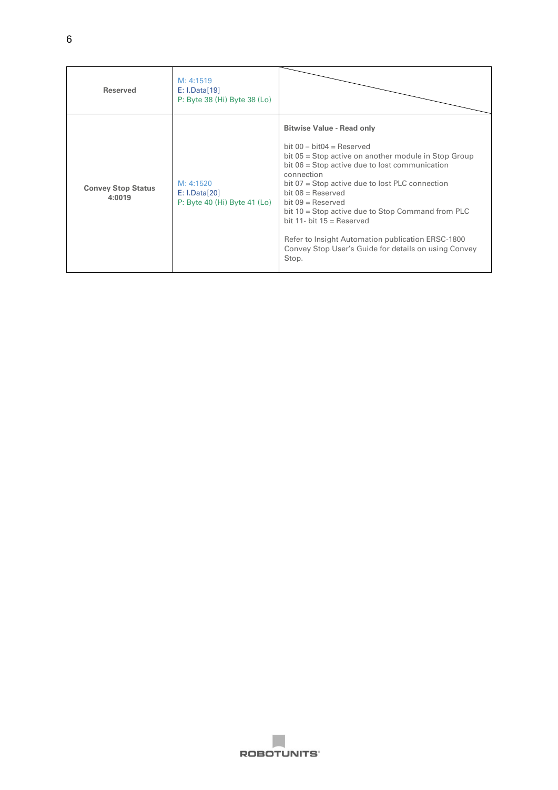| <b>Reserved</b>                     | M: 4:1519<br>E: I.Data[19]<br>P: Byte 38 (Hi) Byte 38 (Lo) |                                                                                                                                                                                                                                                                                                                                                                                                                                                                                                                    |
|-------------------------------------|------------------------------------------------------------|--------------------------------------------------------------------------------------------------------------------------------------------------------------------------------------------------------------------------------------------------------------------------------------------------------------------------------------------------------------------------------------------------------------------------------------------------------------------------------------------------------------------|
| <b>Convey Stop Status</b><br>4:0019 | M: 4:1520<br>E: I.Data[20]<br>P: Byte 40 (Hi) Byte 41 (Lo) | <b>Bitwise Value - Read only</b><br>bit $00 - \text{bit04} = \text{Reserved}$<br>bit 05 = Stop active on another module in Stop Group<br>bit 06 = Stop active due to lost communication<br>connection<br>bit 07 = Stop active due to lost PLC connection<br>$bit 08 = Reserved$<br>bit $09$ = Reserved<br>bit $10 =$ Stop active due to Stop Command from PLC<br>bit 11- bit $15 =$ Reserved<br>Refer to Insight Automation publication ERSC-1800<br>Convey Stop User's Guide for details on using Convey<br>Stop. |

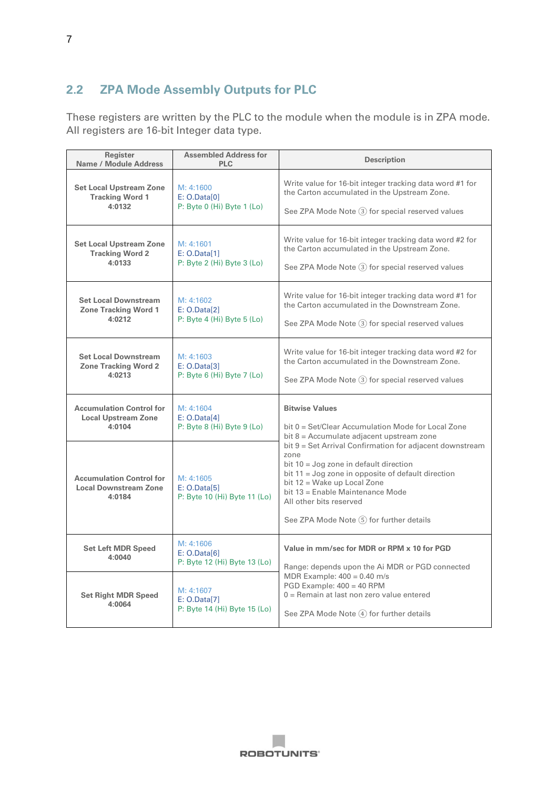#### <span id="page-7-0"></span>**2.2 ZPA Mode Assembly Outputs for PLC**

These registers are written by the PLC to the module when the module is in ZPA mode. All registers are 16-bit Integer data type.

| Register<br>Name / Module Address                                         | <b>Assembled Address for</b><br><b>PLC</b>                | <b>Description</b>                                                                                                                                                                                                                                                                                                |
|---------------------------------------------------------------------------|-----------------------------------------------------------|-------------------------------------------------------------------------------------------------------------------------------------------------------------------------------------------------------------------------------------------------------------------------------------------------------------------|
| <b>Set Local Upstream Zone</b>                                            | M: 4:1600                                                 | Write value for 16-bit integer tracking data word #1 for                                                                                                                                                                                                                                                          |
| <b>Tracking Word 1</b>                                                    | E: O.Datal01                                              | the Carton accumulated in the Upstream Zone.                                                                                                                                                                                                                                                                      |
| 4:0132                                                                    | $P: B$ yte 0 (Hi) Byte 1 (Lo)                             | See ZPA Mode Note (3) for special reserved values                                                                                                                                                                                                                                                                 |
| <b>Set Local Upstream Zone</b>                                            | M: 4:1601                                                 | Write value for 16-bit integer tracking data word #2 for                                                                                                                                                                                                                                                          |
| <b>Tracking Word 2</b>                                                    | E: O.Data[1]                                              | the Carton accumulated in the Upstream Zone.                                                                                                                                                                                                                                                                      |
| 4:0133                                                                    | P: Byte 2 (Hi) Byte 3 (Lo)                                | See ZPA Mode Note (3) for special reserved values                                                                                                                                                                                                                                                                 |
| <b>Set Local Downstream</b>                                               | M: 4:1602                                                 | Write value for 16-bit integer tracking data word #1 for                                                                                                                                                                                                                                                          |
| <b>Zone Tracking Word 1</b>                                               | E: O.Data[2]                                              | the Carton accumulated in the Downstream Zone.                                                                                                                                                                                                                                                                    |
| 4:0212                                                                    | $P: B$ yte 4 (Hi) Byte 5 (Lo)                             | See ZPA Mode Note 3 for special reserved values                                                                                                                                                                                                                                                                   |
| <b>Set Local Downstream</b>                                               | M: 4:1603                                                 | Write value for 16-bit integer tracking data word #2 for                                                                                                                                                                                                                                                          |
| <b>Zone Tracking Word 2</b>                                               | E: O.Data[3]                                              | the Carton accumulated in the Downstream Zone.                                                                                                                                                                                                                                                                    |
| 4:0213                                                                    | $P: B$ yte 6 (Hi) Byte 7 (Lo)                             | See ZPA Mode Note 3 for special reserved values                                                                                                                                                                                                                                                                   |
| <b>Accumulation Control for</b>                                           | M: 4:1604                                                 | <b>Bitwise Values</b>                                                                                                                                                                                                                                                                                             |
| <b>Local Upstream Zone</b>                                                | E: O.Data[4]                                              | bit 0 = Set/Clear Accumulation Mode for Local Zone                                                                                                                                                                                                                                                                |
| 4:0104                                                                    | P: Byte 8 (Hi) Byte 9 (Lo)                                | bit 8 = Accumulate adjacent upstream zone                                                                                                                                                                                                                                                                         |
| <b>Accumulation Control for</b><br><b>Local Downstream Zone</b><br>4:0184 | M: 4:1605<br>E: O.Datal5<br>P: Byte 10 (Hi) Byte 11 (Lo)  | bit 9 = Set Arrival Confirmation for adjacent downstream<br>zone<br>bit $10 =$ Jog zone in default direction<br>bit $11 =$ Jog zone in opposite of default direction<br>bit 12 = Wake up Local Zone<br>bit 13 = Enable Maintenance Mode<br>All other bits reserved<br>See ZPA Mode Note $(5)$ for further details |
| <b>Set Left MDR Speed</b><br>4:0040                                       | M: 4:1606<br>E: O.Datal61<br>P: Byte 12 (Hi) Byte 13 (Lo) | Value in mm/sec for MDR or RPM x 10 for PGD<br>Range: depends upon the Ai MDR or PGD connected                                                                                                                                                                                                                    |
| <b>Set Right MDR Speed</b><br>4:0064                                      | M: 4:1607<br>E: O.Data[7]<br>P: Byte 14 (Hi) Byte 15 (Lo) | MDR Example: $400 = 0.40$ m/s<br>PGD Example: 400 = 40 RPM<br>$0 =$ Remain at last non zero value entered<br>See ZPA Mode Note (4) for further details                                                                                                                                                            |

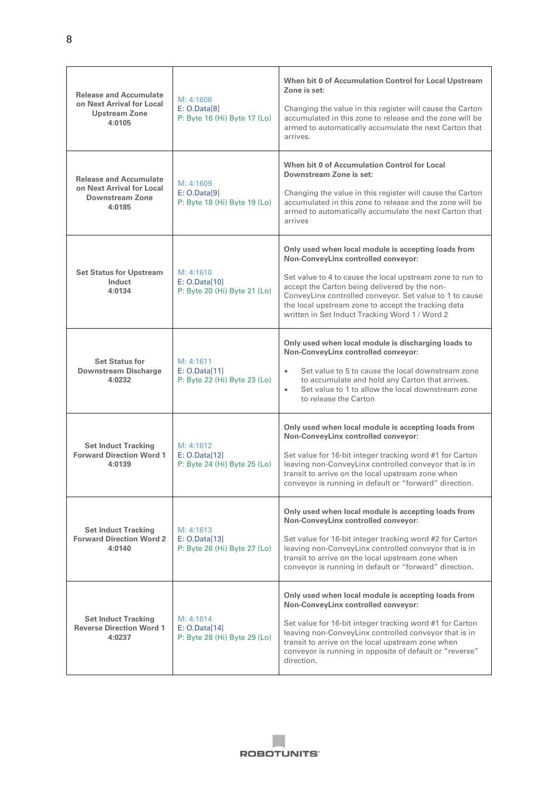| <b>Release and Accumulate</b><br>on Next Arrival for Local<br><b>Upstream Zone</b><br>4:0105   | M: 4:1608<br>E: O.Data[8]<br>P: Byte 16 (Hi) Byte 17 (Lo)  | When bit 0 of Accumulation Control for Local Upstream<br>Zone is set:<br>Changing the value in this register will cause the Carton<br>accumulated in this zone to release and the zone will be<br>armed to automatically accumulate the next Carton that<br>arrives.                                                                                                         |
|------------------------------------------------------------------------------------------------|------------------------------------------------------------|------------------------------------------------------------------------------------------------------------------------------------------------------------------------------------------------------------------------------------------------------------------------------------------------------------------------------------------------------------------------------|
| <b>Release and Accumulate</b><br>on Next Arrival for Local<br><b>Downstream Zone</b><br>4:0185 | M: 4:1609<br>E: O.Data[9]<br>P: Byte 18 (Hi) Byte 19 (Lo)  | When bit 0 of Accumulation Control for Local<br>Downstream Zone is set:<br>Changing the value in this register will cause the Carton<br>accumulated in this zone to release and the zone will be<br>armed to automatically accumulate the next Carton that<br>arrives                                                                                                        |
| <b>Set Status for Upstream</b><br>Induct<br>4:0134                                             | M: 4:1610<br>E: O.Data[10]<br>P: Byte 20 (Hi) Byte 21 (Lo) | Only used when local module is accepting loads from<br>Non-ConveyLinx controlled conveyor:<br>Set value to 4 to cause the local upstream zone to run to<br>accept the Carton being delivered by the non-<br>ConveyLinx controlled conveyor. Set value to 1 to cause<br>the local upstream zone to accept the tracking data<br>written in Set Induct Tracking Word 1 / Word 2 |
| <b>Set Status for</b><br><b>Downstream Discharge</b><br>4:0232                                 | M: 4:1611<br>E: 0.Data[11]<br>P: Byte 22 (Hi) Byte 23 (Lo) | Only used when local module is discharging loads to<br>Non-ConveyLinx controlled conveyor:<br>Set value to 5 to cause the local downstream zone<br>$\bullet$<br>to accumulate and hold any Carton that arrives.<br>Set value to 1 to allow the local downstream zone<br>$\bullet$<br>to release the Carton                                                                   |
| <b>Set Induct Tracking</b><br><b>Forward Direction Word 1</b><br>4:0139                        | M: 4:1612<br>E: O.Data[12]<br>P: Byte 24 (Hi) Byte 25 (Lo) | Only used when local module is accepting loads from<br>Non-ConveyLinx controlled conveyor:<br>Set value for 16-bit integer tracking word #1 for Carton<br>leaving non-ConveyLinx controlled conveyor that is in<br>transit to arrive on the local upstream zone when<br>conveyor is running in default or "forward" direction.                                               |
| <b>Set Induct Tracking</b><br><b>Forward Direction Word 2</b><br>4:0140                        | M: 4:1613<br>E: O.Data[13]<br>P: Byte 26 (Hi) Byte 27 (Lo) | Only used when local module is accepting loads from<br>Non-ConveyLinx controlled conveyor:<br>Set value for 16-bit integer tracking word #2 for Carton<br>leaving non-ConveyLinx controlled conveyor that is in<br>transit to arrive on the local upstream zone when<br>conveyor is running in default or "forward" direction.                                               |
| <b>Set Induct Tracking</b><br><b>Reverse Direction Word 1</b><br>4:0237                        | M: 4:1614<br>E: 0.Data[14]<br>P: Byte 28 (Hi) Byte 29 (Lo) | Only used when local module is accepting loads from<br>Non-ConveyLinx controlled conveyor:<br>Set value for 16-bit integer tracking word #1 for Carton<br>leaving non-ConveyLinx controlled conveyor that is in<br>transit to arrive on the local upstream zone when<br>conveyor is running in opposite of default or "reverse"<br>direction.                                |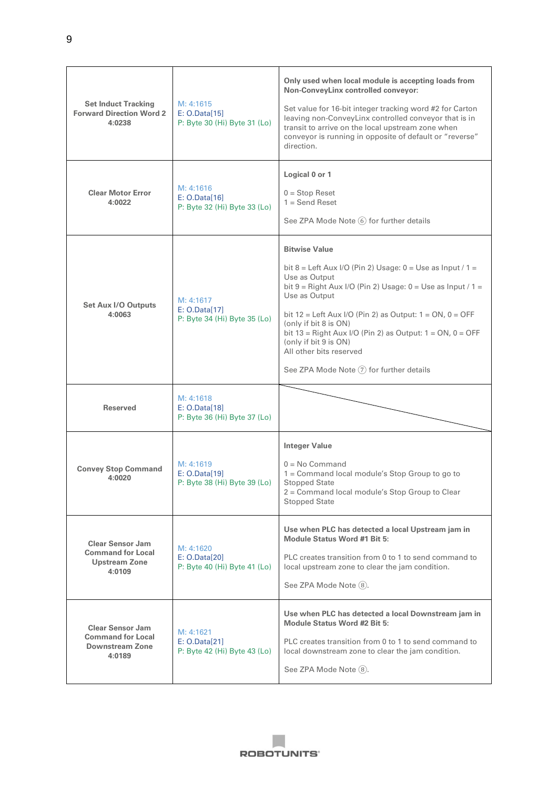| <b>Set Induct Tracking</b><br><b>Forward Direction Word 2</b><br>4:0238               | M: 4:1615<br>E: O.Data[15]<br>P: Byte 30 (Hi) Byte 31 (Lo) | Only used when local module is accepting loads from<br>Non-ConveyLinx controlled conveyor:<br>Set value for 16-bit integer tracking word #2 for Carton<br>leaving non-ConveyLinx controlled conveyor that is in<br>transit to arrive on the local upstream zone when<br>conveyor is running in opposite of default or "reverse"<br>direction.                                                                                                              |
|---------------------------------------------------------------------------------------|------------------------------------------------------------|------------------------------------------------------------------------------------------------------------------------------------------------------------------------------------------------------------------------------------------------------------------------------------------------------------------------------------------------------------------------------------------------------------------------------------------------------------|
| <b>Clear Motor Error</b><br>4:0022                                                    | M: 4:1616<br>E: O.Data[16]<br>P: Byte 32 (Hi) Byte 33 (Lo) | Logical 0 or 1<br>$0 = Stop$ Reset<br>$1 =$ Send Reset<br>See ZPA Mode Note (6) for further details                                                                                                                                                                                                                                                                                                                                                        |
| <b>Set Aux I/O Outputs</b><br>4:0063                                                  | M: 4:1617<br>E: O.Data[17]<br>P: Byte 34 (Hi) Byte 35 (Lo) | <b>Bitwise Value</b><br>bit 8 = Left Aux I/O (Pin 2) Usage: $0 =$ Use as Input / 1 =<br>Use as Output<br>bit $9 =$ Right Aux I/O (Pin 2) Usage: $0 =$ Use as Input / 1 =<br>Use as Output<br>bit $12$ = Left Aux I/O (Pin 2) as Output: $1 = ON$ , $0 = OFF$<br>(only if bit 8 is ON)<br>bit 13 = Right Aux I/O (Pin 2) as Output: $1 = ON$ , $0 = OFF$<br>(only if bit 9 is ON)<br>All other bits reserved<br>See ZPA Mode Note $(7)$ for further details |
| <b>Reserved</b>                                                                       | M: 4:1618<br>E: 0.Data[18]<br>P: Byte 36 (Hi) Byte 37 (Lo) |                                                                                                                                                                                                                                                                                                                                                                                                                                                            |
| <b>Convey Stop Command</b><br>4:0020                                                  | M: 4:1619<br>E: O.Data[19]<br>P: Byte 38 (Hi) Byte 39 (Lo) | <b>Integer Value</b><br>$0 = No$ Command<br>1 = Command local module's Stop Group to go to<br><b>Stopped State</b><br>2 = Command local module's Stop Group to Clear<br><b>Stopped State</b>                                                                                                                                                                                                                                                               |
| <b>Clear Sensor Jam</b><br><b>Command for Local</b><br><b>Upstream Zone</b><br>4:0109 | M: 4:1620<br>E: O.Data[20]<br>P: Byte 40 (Hi) Byte 41 (Lo) | Use when PLC has detected a local Upstream jam in<br><b>Module Status Word #1 Bit 5:</b><br>PLC creates transition from 0 to 1 to send command to<br>local upstream zone to clear the jam condition.<br>See ZPA Mode Note (8).                                                                                                                                                                                                                             |
| <b>Clear Sensor Jam</b><br><b>Command for Local</b><br>Downstream Zone<br>4:0189      | M: 4:1621<br>E: 0.Data[21]<br>P: Byte 42 (Hi) Byte 43 (Lo) | Use when PLC has detected a local Downstream jam in<br>Module Status Word #2 Bit 5:<br>PLC creates transition from 0 to 1 to send command to<br>local downstream zone to clear the jam condition.<br>See ZPA Mode Note (8).                                                                                                                                                                                                                                |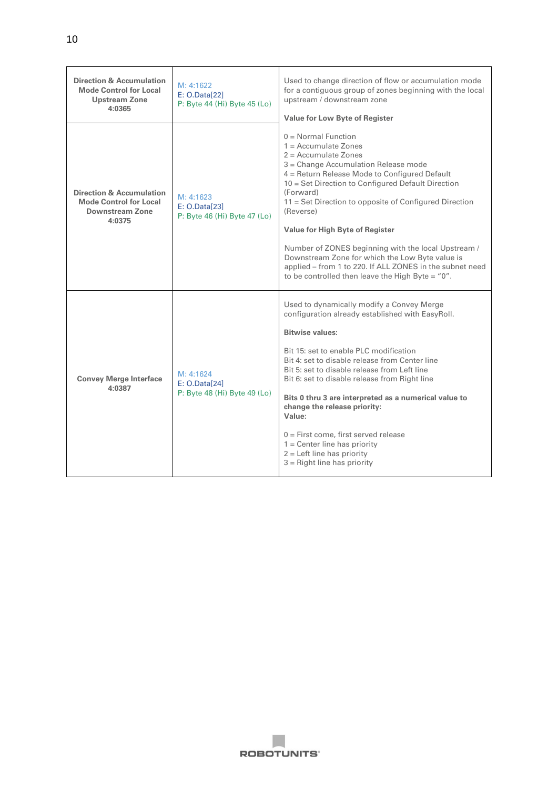| <b>Direction &amp; Accumulation</b><br><b>Mode Control for Local</b><br><b>Upstream Zone</b><br>4:0365   | M: 4:1622<br>E: 0.Data[22]<br>P: Byte 44 (Hi) Byte 45 (Lo) | Used to change direction of flow or accumulation mode<br>for a contiguous group of zones beginning with the local<br>upstream / downstream zone<br><b>Value for Low Byte of Register</b>                                                                                                                                                                                                                                                                                                                                                                                     |
|----------------------------------------------------------------------------------------------------------|------------------------------------------------------------|------------------------------------------------------------------------------------------------------------------------------------------------------------------------------------------------------------------------------------------------------------------------------------------------------------------------------------------------------------------------------------------------------------------------------------------------------------------------------------------------------------------------------------------------------------------------------|
| <b>Direction &amp; Accumulation</b><br><b>Mode Control for Local</b><br><b>Downstream Zone</b><br>4:0375 | M: 4:1623<br>E: O.Data[23]<br>P: Byte 46 (Hi) Byte 47 (Lo) | $0 = Normal Function$<br>$1 = Accumulate Zones$<br>$2 = Accumulate\ Zones$<br>3 = Change Accumulation Release mode<br>4 = Return Release Mode to Configured Default<br>10 = Set Direction to Configured Default Direction<br>(Forward)<br>11 = Set Direction to opposite of Configured Direction<br>(Reverse)<br>Value for High Byte of Register<br>Number of ZONES beginning with the local Upstream /<br>Downstream Zone for which the Low Byte value is<br>applied - from 1 to 220. If ALL ZONES in the subnet need<br>to be controlled then leave the High Byte = $"0".$ |
| <b>Convey Merge Interface</b><br>4:0387                                                                  | M: 4:1624<br>E: O.Data[24]<br>P: Byte 48 (Hi) Byte 49 (Lo) | Used to dynamically modify a Convey Merge<br>configuration already established with EasyRoll.<br><b>Bitwise values:</b><br>Bit 15: set to enable PLC modification<br>Bit 4: set to disable release from Center line<br>Bit 5: set to disable release from Left line<br>Bit 6: set to disable release from Right line<br>Bits 0 thru 3 are interpreted as a numerical value to<br>change the release priority:<br>Value:<br>$0 =$ First come, first served release<br>$1 =$ Center line has priority<br>$2 =$ Left line has priority<br>$3 =$ Right line has priority         |

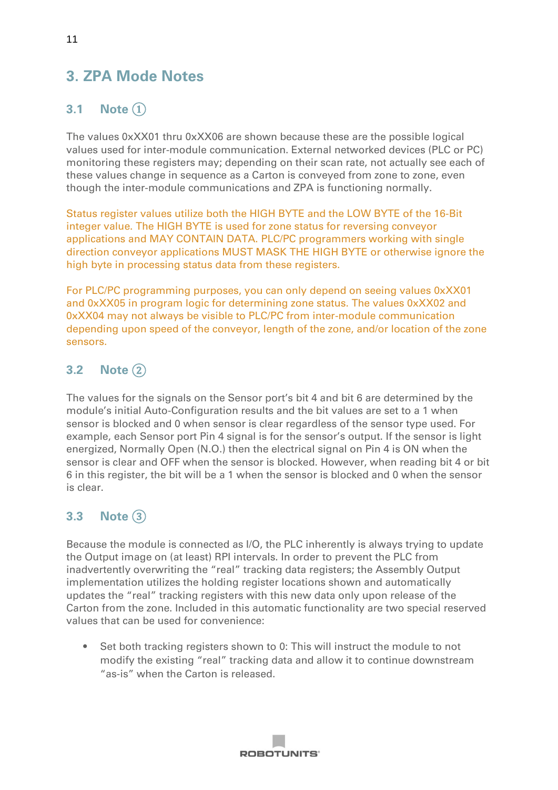# <span id="page-11-0"></span>**3. ZPA Mode Notes**

# <span id="page-11-1"></span>**3.1 Note** ①

The values 0xXX01 thru 0xXX06 are shown because these are the possible logical values used for inter-module communication. External networked devices (PLC or PC) monitoring these registers may; depending on their scan rate, not actually see each of these values change in sequence as a Carton is conveyed from zone to zone, even though the inter-module communications and ZPA is functioning normally.

Status register values utilize both the HIGH BYTE and the LOW BYTE of the 16-Bit integer value. The HIGH BYTE is used for zone status for reversing conveyor applications and MAY CONTAIN DATA. PLC/PC programmers working with single direction conveyor applications MUST MASK THE HIGH BYTE or otherwise ignore the high byte in processing status data from these registers.

For PLC/PC programming purposes, you can only depend on seeing values 0xXX01 and 0xXX05 in program logic for determining zone status. The values 0xXX02 and 0xXX04 may not always be visible to PLC/PC from inter-module communication depending upon speed of the conveyor, length of the zone, and/or location of the zone sensors.

# <span id="page-11-2"></span>**3.2 Note** ②

The values for the signals on the Sensor port's bit 4 and bit 6 are determined by the module's initial Auto-Configuration results and the bit values are set to a 1 when sensor is blocked and 0 when sensor is clear regardless of the sensor type used. For example, each Sensor port Pin 4 signal is for the sensor's output. If the sensor is light energized, Normally Open (N.O.) then the electrical signal on Pin 4 is ON when the sensor is clear and OFF when the sensor is blocked. However, when reading bit 4 or bit 6 in this register, the bit will be a 1 when the sensor is blocked and 0 when the sensor is clear.

# <span id="page-11-3"></span>**3.3 Note** ③

Because the module is connected as I/O, the PLC inherently is always trying to update the Output image on (at least) RPI intervals. In order to prevent the PLC from inadvertently overwriting the "real" tracking data registers; the Assembly Output implementation utilizes the holding register locations shown and automatically updates the "real" tracking registers with this new data only upon release of the Carton from the zone. Included in this automatic functionality are two special reserved values that can be used for convenience:

• Set both tracking registers shown to 0: This will instruct the module to not modify the existing "real" tracking data and allow it to continue downstream "as-is" when the Carton is released.

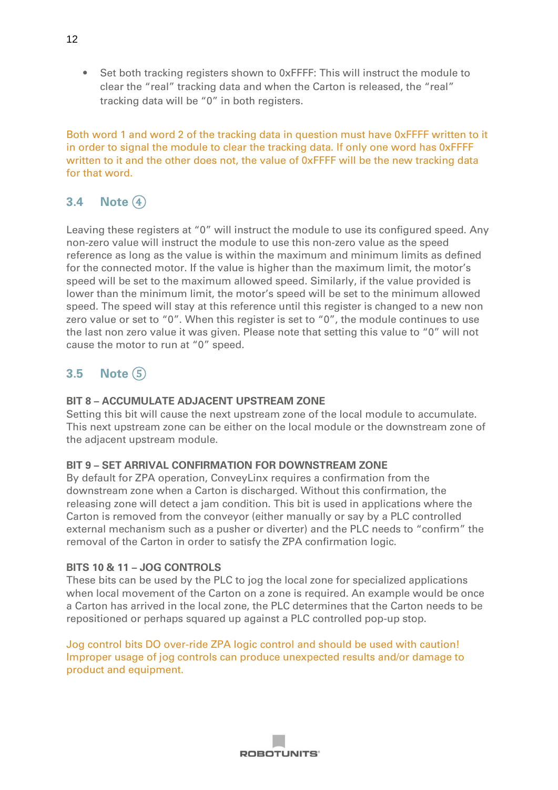• Set both tracking registers shown to 0xFFFF: This will instruct the module to clear the "real" tracking data and when the Carton is released, the "real" tracking data will be "0" in both registers.

Both word 1 and word 2 of the tracking data in question must have 0xFFFF written to it in order to signal the module to clear the tracking data. If only one word has 0xFFFF written to it and the other does not, the value of 0xFFFF will be the new tracking data for that word.

### <span id="page-12-0"></span>**3.4 Note** ④

Leaving these registers at "0" will instruct the module to use its configured speed. Any non-zero value will instruct the module to use this non-zero value as the speed reference as long as the value is within the maximum and minimum limits as defined for the connected motor. If the value is higher than the maximum limit, the motor's speed will be set to the maximum allowed speed. Similarly, if the value provided is lower than the minimum limit, the motor's speed will be set to the minimum allowed speed. The speed will stay at this reference until this register is changed to a new non zero value or set to "0". When this register is set to "0", the module continues to use the last non zero value it was given. Please note that setting this value to "0" will not cause the motor to run at "0" speed.

### <span id="page-12-1"></span>**3.5 Note** ⑤

#### **BIT 8 – ACCUMULATE ADJACENT UPSTREAM ZONE**

Setting this bit will cause the next upstream zone of the local module to accumulate. This next upstream zone can be either on the local module or the downstream zone of the adjacent upstream module.

#### **BIT 9 – SET ARRIVAL CONFIRMATION FOR DOWNSTREAM ZONE**

By default for ZPA operation, ConveyLinx requires a confirmation from the downstream zone when a Carton is discharged. Without this confirmation, the releasing zone will detect a jam condition. This bit is used in applications where the Carton is removed from the conveyor (either manually or say by a PLC controlled external mechanism such as a pusher or diverter) and the PLC needs to "confirm" the removal of the Carton in order to satisfy the ZPA confirmation logic.

#### **BITS 10 & 11 – JOG CONTROLS**

These bits can be used by the PLC to jog the local zone for specialized applications when local movement of the Carton on a zone is required. An example would be once a Carton has arrived in the local zone, the PLC determines that the Carton needs to be repositioned or perhaps squared up against a PLC controlled pop-up stop.

Jog control bits DO over-ride ZPA logic control and should be used with caution! Improper usage of jog controls can produce unexpected results and/or damage to product and equipment.

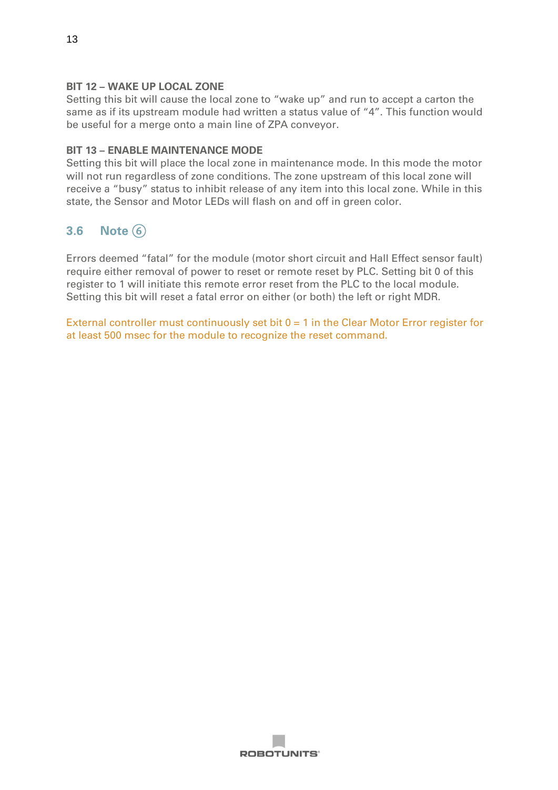#### **BIT 12 – WAKE UP LOCAL ZONE**

Setting this bit will cause the local zone to "wake up" and run to accept a carton the same as if its upstream module had written a status value of "4". This function would be useful for a merge onto a main line of ZPA conveyor.

#### **BIT 13 – ENABLE MAINTENANCE MODE**

Setting this bit will place the local zone in maintenance mode. In this mode the motor will not run regardless of zone conditions. The zone upstream of this local zone will receive a "busy" status to inhibit release of any item into this local zone. While in this state, the Sensor and Motor LEDs will flash on and off in green color.

#### <span id="page-13-0"></span>**3.6 Note** ⑥

Errors deemed "fatal" for the module (motor short circuit and Hall Effect sensor fault) require either removal of power to reset or remote reset by PLC. Setting bit 0 of this register to 1 will initiate this remote error reset from the PLC to the local module. Setting this bit will reset a fatal error on either (or both) the left or right MDR.

External controller must continuously set bit  $0 = 1$  in the Clear Motor Error register for at least 500 msec for the module to recognize the reset command.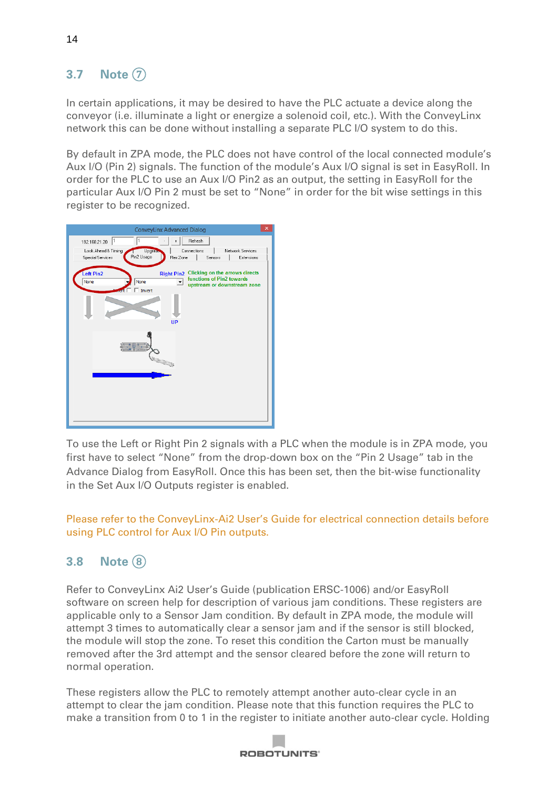# <span id="page-14-0"></span>**3.7 Note** ⑦

In certain applications, it may be desired to have the PLC actuate a device along the conveyor (i.e. illuminate a light or energize a solenoid coil, etc.). With the ConveyLinx network this can be done without installing a separate PLC I/O system to do this.

By default in ZPA mode, the PLC does not have control of the local connected module's Aux I/O (Pin 2) signals. The function of the module's Aux I/O signal is set in EasyRoll. In order for the PLC to use an Aux I/O Pin2 as an output, the setting in EasyRoll for the particular Aux I/O Pin 2 must be set to "None" in order for the bit wise settings in this register to be recognized.



To use the Left or Right Pin 2 signals with a PLC when the module is in ZPA mode, you first have to select "None" from the drop-down box on the "Pin 2 Usage" tab in the Advance Dialog from EasyRoll. Once this has been set, then the bit-wise functionality in the Set Aux I/O Outputs register is enabled.

Please refer to the ConveyLinx-Ai2 User's Guide for electrical connection details before using PLC control for Aux I/O Pin outputs.

### <span id="page-14-1"></span>**3.8 Note**  $\left(8\right)$

Refer to ConveyLinx Ai2 User's Guide (publication ERSC-1006) and/or EasyRoll software on screen help for description of various jam conditions. These registers are applicable only to a Sensor Jam condition. By default in ZPA mode, the module will attempt 3 times to automatically clear a sensor jam and if the sensor is still blocked, the module will stop the zone. To reset this condition the Carton must be manually removed after the 3rd attempt and the sensor cleared before the zone will return to normal operation.

These registers allow the PLC to remotely attempt another auto-clear cycle in an attempt to clear the jam condition. Please note that this function requires the PLC to make a transition from 0 to 1 in the register to initiate another auto-clear cycle. Holding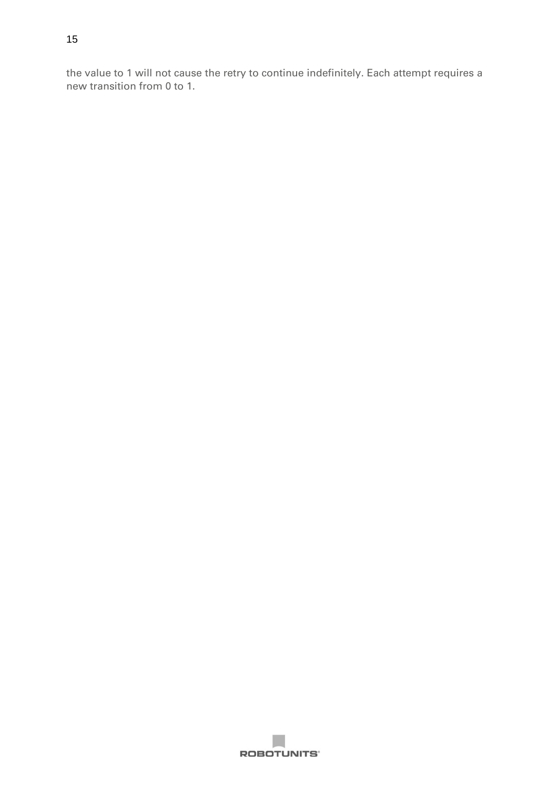the value to 1 will not cause the retry to continue indefinitely. Each attempt requires a new transition from 0 to 1.

**ROBOTUNITS'**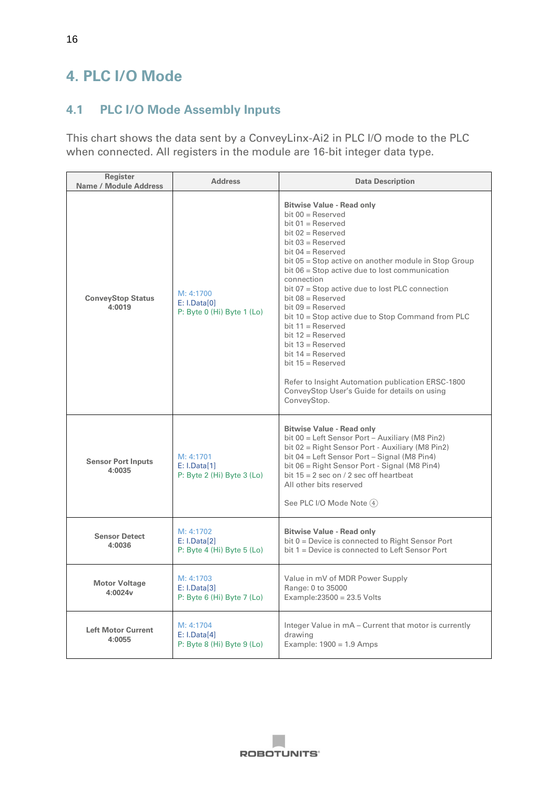# <span id="page-16-0"></span>**4. PLC I/O Mode**

#### <span id="page-16-1"></span>**4.1 PLC I/O Mode Assembly Inputs**

This chart shows the data sent by a ConveyLinx-Ai2 in PLC I/O mode to the PLC when connected. All registers in the module are 16-bit integer data type.

| Register<br><b>Name / Module Address</b> | <b>Address</b>                                              | <b>Data Description</b>                                                                                                                                                                                                                                                                                                                                                                                                                                                                                                                                                                                                                                                  |
|------------------------------------------|-------------------------------------------------------------|--------------------------------------------------------------------------------------------------------------------------------------------------------------------------------------------------------------------------------------------------------------------------------------------------------------------------------------------------------------------------------------------------------------------------------------------------------------------------------------------------------------------------------------------------------------------------------------------------------------------------------------------------------------------------|
| <b>ConveyStop Status</b><br>4:0019       | M: 4:1700<br>E: I.Data[0]<br>$P: B$ yte 0 (Hi) Byte 1 (Lo)  | <b>Bitwise Value - Read only</b><br>bit $00 =$ Reserved<br>bit $01$ = Reserved<br>bit $02$ = Reserved<br>bit $03$ = Reserved<br>bit $04 =$ Reserved<br>bit 05 = Stop active on another module in Stop Group<br>bit 06 = Stop active due to lost communication<br>connection<br>bit 07 = Stop active due to lost PLC connection<br>$bit 08 = Reserved$<br>$bit 09 =$ Reserved<br>bit 10 = Stop active due to Stop Command from PLC<br>bit $11 =$ Reserved<br>bit $12 =$ Reserved<br>bit $13 =$ Reserved<br>bit $14 =$ Reserved<br>bit $15 =$ Reserved<br>Refer to Insight Automation publication ERSC-1800<br>ConveyStop User's Guide for details on using<br>ConveyStop. |
| <b>Sensor Port Inputs</b><br>4:0035      | M: 4:1701<br>E: I.Data[1]<br>P: Byte 2 (Hi) Byte 3 (Lo)     | <b>Bitwise Value - Read only</b><br>bit 00 = Left Sensor Port - Auxiliary (M8 Pin2)<br>bit 02 = Right Sensor Port - Auxiliary (M8 Pin2)<br>bit 04 = Left Sensor Port - Signal (M8 Pin4)<br>bit 06 = Right Sensor Port - Signal (M8 Pin4)<br>bit $15 = 2$ sec on / 2 sec off heartbeat<br>All other bits reserved<br>See PLC I/O Mode Note (4)                                                                                                                                                                                                                                                                                                                            |
| <b>Sensor Detect</b><br>4:0036           | M: 4:1702<br>E: I.Data[2]<br>P: Byte 4 (Hi) Byte 5 (Lo)     | <b>Bitwise Value - Read only</b><br>bit 0 = Device is connected to Right Sensor Port<br>bit 1 = Device is connected to Left Sensor Port                                                                                                                                                                                                                                                                                                                                                                                                                                                                                                                                  |
| <b>Motor Voltage</b><br>4:0024v          | M: 4:1703<br>E: I.Data[3]<br>P: Byte $6$ (Hi) Byte $7$ (Lo) | Value in mV of MDR Power Supply<br>Range: 0 to 35000<br>Example: $23500 = 23.5$ Volts                                                                                                                                                                                                                                                                                                                                                                                                                                                                                                                                                                                    |
| <b>Left Motor Current</b><br>4:0055      | M: 4:1704<br>E: I.Data[4]<br>$P:$ Byte 8 (Hi) Byte 9 (Lo)   | Integer Value in mA – Current that motor is currently<br>drawing<br>Example: $1900 = 1.9$ Amps                                                                                                                                                                                                                                                                                                                                                                                                                                                                                                                                                                           |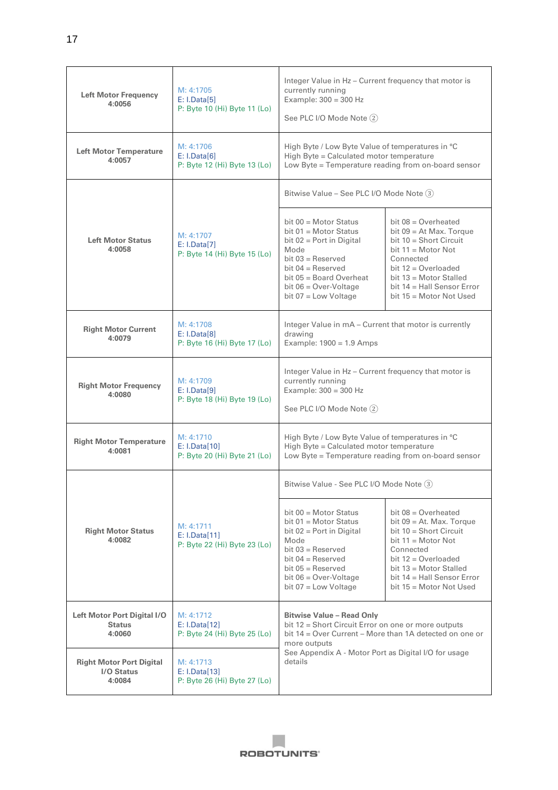| <b>Left Motor Frequency</b><br>4:0056                   | M: 4:1705<br>E: I.Data[5]<br>P: Byte 10 (Hi) Byte 11 (Lo)  | Integer Value in Hz - Current frequency that motor is<br>currently running<br>Example: $300 = 300$ Hz<br>See PLC I/O Mode Note (2)                                                                                                    |                                                                                                                                                                                                                                         |
|---------------------------------------------------------|------------------------------------------------------------|---------------------------------------------------------------------------------------------------------------------------------------------------------------------------------------------------------------------------------------|-----------------------------------------------------------------------------------------------------------------------------------------------------------------------------------------------------------------------------------------|
| <b>Left Motor Temperature</b><br>4:0057                 | M: 4:1706<br>E: I.Data[6]<br>P: Byte 12 (Hi) Byte 13 (Lo)  | High Byte / Low Byte Value of temperatures in °C<br>High Byte = Calculated motor temperature<br>Low Byte = Temperature reading from on-board sensor                                                                                   |                                                                                                                                                                                                                                         |
|                                                         |                                                            | Bitwise Value - See PLC I/O Mode Note (3)                                                                                                                                                                                             |                                                                                                                                                                                                                                         |
| <b>Left Motor Status</b><br>4:0058                      | M: 4:1707<br>E: I.Data[7]<br>P: Byte 14 (Hi) Byte 15 (Lo)  | bit $00 =$ Motor Status<br>bit $01$ = Motor Status<br>bit $02$ = Port in Digital<br>Mode<br>$bit 03 =$ Reserved<br>bit $04 =$ Reserved<br>bit $05 =$ Board Overheat<br>bit $06 = Over-Voltage$<br>bit $07 =$ Low Voltage              | bit $08 =$ Overheated<br>bit $09 = At Max$ . Torque<br>bit $10 =$ Short Circuit<br>$bit 11 = Motor Not$<br>Connected<br>bit $12 =$ Overloaded<br>bit $13$ = Motor Stalled<br>bit $14$ = Hall Sensor Error<br>bit $15 =$ Motor Not Used  |
| <b>Right Motor Current</b><br>4:0079                    | M: 4:1708<br>E: I.Data[8]<br>P: Byte 16 (Hi) Byte 17 (Lo)  | Integer Value in mA - Current that motor is currently<br>drawing<br>Example: $1900 = 1.9$ Amps                                                                                                                                        |                                                                                                                                                                                                                                         |
| <b>Right Motor Frequency</b><br>4:0080                  | M: 4:1709<br>E: I.Data[9]<br>P: Byte 18 (Hi) Byte 19 (Lo)  | Integer Value in Hz - Current frequency that motor is<br>currently running<br>Example: $300 = 300$ Hz<br>See PLC I/O Mode Note (2)                                                                                                    |                                                                                                                                                                                                                                         |
| <b>Right Motor Temperature</b><br>4:0081                | M: 4:1710<br>E: I.Data[10]<br>P: Byte 20 (Hi) Byte 21 (Lo) | High Byte / Low Byte Value of temperatures in °C<br>High Byte = Calculated motor temperature<br>Low Byte = Temperature reading from on-board sensor                                                                                   |                                                                                                                                                                                                                                         |
|                                                         |                                                            | Bitwise Value - See PLC I/O Mode Note 3                                                                                                                                                                                               |                                                                                                                                                                                                                                         |
| <b>Right Motor Status</b><br>4:0082                     | M: 4:1711<br>E: I.Data[11]<br>P: Byte 22 (Hi) Byte 23 (Lo) | bit $00 =$ Motor Status<br>bit $01$ = Motor Status<br>bit $02$ = Port in Digital<br>Mode<br>bit $03 =$ Reserved<br>bit $04 =$ Reserved<br>bit $05 =$ Reserved<br>bit $06 = Over-Voltage$<br>bit $07 =$ Low Voltage                    | bit $08 =$ Overheated<br>bit $09 = At$ . Max. Torque<br>bit $10 =$ Short Circuit<br>bit $11 =$ Motor Not<br>Connected<br>bit $12 =$ Overloaded<br>bit $13$ = Motor Stalled<br>bit $14 = Hall$ Sensor Error<br>bit $15 =$ Motor Not Used |
| Left Motor Port Digital I/O<br><b>Status</b><br>4:0060  | M: 4:1712<br>E: I.Data[12]<br>P: Byte 24 (Hi) Byte 25 (Lo) | <b>Bitwise Value - Read Only</b><br>bit 12 = Short Circuit Error on one or more outputs<br>bit 14 = Over Current – More than 1A detected on one or<br>more outputs<br>See Appendix A - Motor Port as Digital I/O for usage<br>details |                                                                                                                                                                                                                                         |
| <b>Right Motor Port Digital</b><br>I/O Status<br>4:0084 | M: 4:1713<br>E: I.Data[13]<br>P: Byte 26 (Hi) Byte 27 (Lo) |                                                                                                                                                                                                                                       |                                                                                                                                                                                                                                         |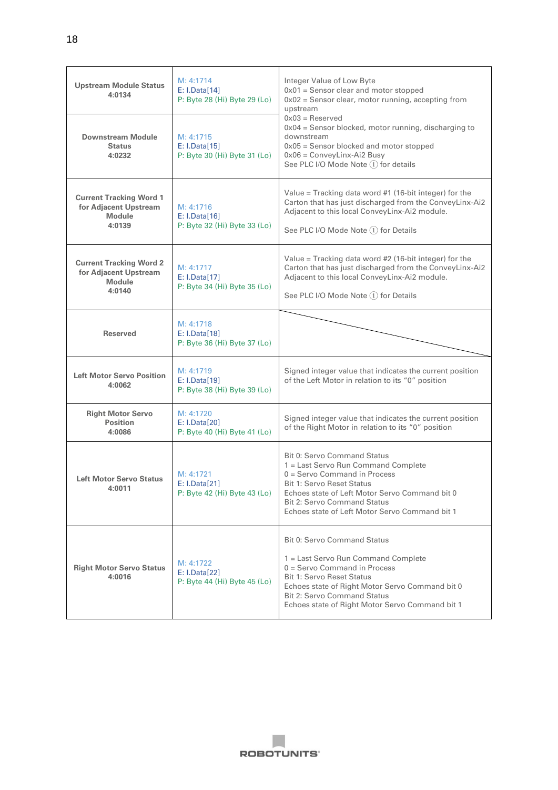| <b>Upstream Module Status</b><br>4:0134                                            | M: 4:1714<br>E: I.Data[14]<br>P: Byte 28 (Hi) Byte 29 (Lo) | Integer Value of Low Byte<br>$0x01$ = Sensor clear and motor stopped<br>$0x02$ = Sensor clear, motor running, accepting from<br>upstream                                                                                                                                                    |  |
|------------------------------------------------------------------------------------|------------------------------------------------------------|---------------------------------------------------------------------------------------------------------------------------------------------------------------------------------------------------------------------------------------------------------------------------------------------|--|
| <b>Downstream Module</b><br><b>Status</b><br>4:0232                                | M: 4:1715<br>E: I.Data[15]<br>P: Byte 30 (Hi) Byte 31 (Lo) | $0x03 =$ Reserved<br>$0x04$ = Sensor blocked, motor running, discharging to<br>downstream<br>$0x05$ = Sensor blocked and motor stopped<br>$0x06 = ConveyLinux-Ai2 Busy$<br>See PLC I/O Mode Note (1) for details                                                                            |  |
| <b>Current Tracking Word 1</b><br>for Adjacent Upstream<br><b>Module</b><br>4:0139 | M: 4:1716<br>E: I.Data[16]<br>P: Byte 32 (Hi) Byte 33 (Lo) | Value = Tracking data word $#1$ (16-bit integer) for the<br>Carton that has just discharged from the ConveyLinx-Ai2<br>Adjacent to this local ConveyLinx-Ai2 module.<br>See PLC I/O Mode Note (1) for Details                                                                               |  |
| <b>Current Tracking Word 2</b><br>for Adjacent Upstream<br><b>Module</b><br>4:0140 | M: 4:1717<br>E: I.Data[17]<br>P: Byte 34 (Hi) Byte 35 (Lo) | Value = Tracking data word $#2$ (16-bit integer) for the<br>Carton that has just discharged from the ConveyLinx-Ai2<br>Adjacent to this local ConveyLinx-Ai2 module.<br>See PLC I/O Mode Note (1) for Details                                                                               |  |
| <b>Reserved</b>                                                                    | M: 4:1718<br>E: I.Data[18]<br>P: Byte 36 (Hi) Byte 37 (Lo) |                                                                                                                                                                                                                                                                                             |  |
| <b>Left Motor Servo Position</b><br>4:0062                                         | M: 4:1719<br>E: I.Data[19]<br>P: Byte 38 (Hi) Byte 39 (Lo) | Signed integer value that indicates the current position<br>of the Left Motor in relation to its "0" position                                                                                                                                                                               |  |
| <b>Right Motor Servo</b><br><b>Position</b><br>4:0086                              | M: 4:1720<br>E: I.Data[20]<br>P: Byte 40 (Hi) Byte 41 (Lo) | Signed integer value that indicates the current position<br>of the Right Motor in relation to its "0" position                                                                                                                                                                              |  |
| <b>Left Motor Servo Status</b><br>4:0011                                           | M: 4:1721<br>E: I.Data[21]<br>P: Byte 42 (Hi) Byte 43 (Lo) | <b>Bit 0: Servo Command Status</b><br>1 = Last Servo Run Command Complete<br>$0 =$ Servo Command in Process<br><b>Bit 1: Servo Reset Status</b><br>Echoes state of Left Motor Servo Command bit 0<br><b>Bit 2: Servo Command Status</b><br>Echoes state of Left Motor Servo Command bit 1   |  |
| <b>Right Motor Servo Status</b><br>4:0016                                          | M: 4:1722<br>E: I.Data[22]<br>P: Byte 44 (Hi) Byte 45 (Lo) | <b>Bit 0: Servo Command Status</b><br>1 = Last Servo Run Command Complete<br>$0 =$ Servo Command in Process<br><b>Bit 1: Servo Reset Status</b><br>Echoes state of Right Motor Servo Command bit 0<br><b>Bit 2: Servo Command Status</b><br>Echoes state of Right Motor Servo Command bit 1 |  |

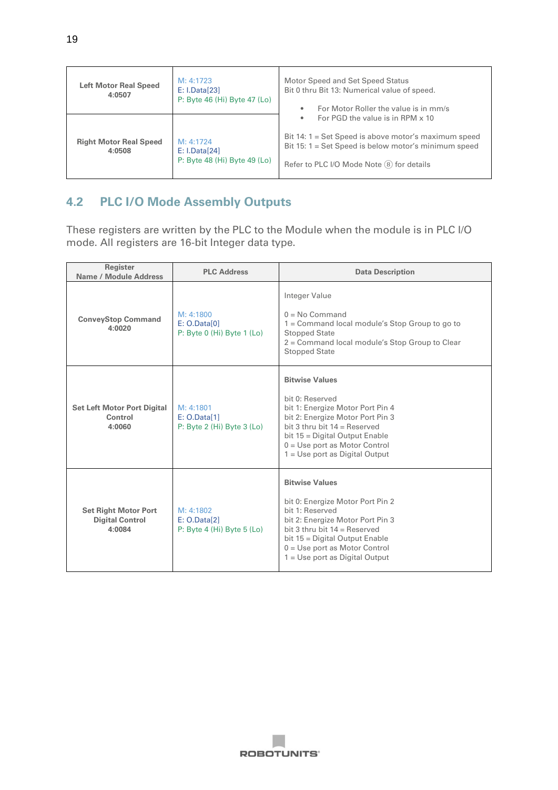| <b>Left Motor Real Speed</b><br>4:0507  | M: 4:1723<br>E: I.Data[23]<br>P: Byte 46 (Hi) Byte 47 (Lo) | Motor Speed and Set Speed Status<br>Bit 0 thru Bit 13: Numerical value of speed.<br>For Motor Roller the value is in mm/s<br>٠                                                                          |
|-----------------------------------------|------------------------------------------------------------|---------------------------------------------------------------------------------------------------------------------------------------------------------------------------------------------------------|
| <b>Right Motor Real Speed</b><br>4:0508 | M: 4:1724<br>E: I.Data[24]<br>P: Byte 48 (Hi) Byte 49 (Lo) | For PGD the value is in RPM x 10<br>٠<br>Bit 14: 1 = Set Speed is above motor's maximum speed<br>Bit 15: $1 = Set Speed$ is below motor's minimum speed<br>Refer to PLC I/O Mode Note $(8)$ for details |

#### <span id="page-19-0"></span>**4.2 PLC I/O Mode Assembly Outputs**

These registers are written by the PLC to the Module when the module is in PLC I/O mode. All registers are 16-bit Integer data type.

| Register<br>Name / Module Address                               | <b>PLC Address</b>                                          | <b>Data Description</b>                                                                                                                                                                                                                                     |  |
|-----------------------------------------------------------------|-------------------------------------------------------------|-------------------------------------------------------------------------------------------------------------------------------------------------------------------------------------------------------------------------------------------------------------|--|
| <b>ConveyStop Command</b><br>4:0020                             | M: 4:1800<br>E: O.Data[0]<br>P: Byte 0 (Hi) Byte 1 (Lo)     | Integer Value<br>$0 = No$ Command<br>1 = Command local module's Stop Group to go to<br><b>Stopped State</b><br>2 = Command local module's Stop Group to Clear<br><b>Stopped State</b>                                                                       |  |
| <b>Set Left Motor Port Digital</b><br>Control<br>4:0060         | M: 4:1801<br>E: O.Data[1]<br>$P: B$ yte 2 (Hi) Byte 3 (Lo)  | <b>Bitwise Values</b><br>bit 0: Reserved<br>bit 1: Energize Motor Port Pin 4<br>bit 2: Energize Motor Port Pin 3<br>bit 3 thru bit $14 =$ Reserved<br>bit 15 = Digital Output Enable<br>$0 =$ Use port as Motor Control<br>$1 = Use$ port as Digital Output |  |
| <b>Set Right Motor Port</b><br><b>Digital Control</b><br>4:0084 | M: 4:1802<br>E: O.Data[2]<br>P: Byte $4$ (Hi) Byte $5$ (Lo) | <b>Bitwise Values</b><br>bit 0: Energize Motor Port Pin 2<br>bit 1: Reserved<br>bit 2: Energize Motor Port Pin 3<br>bit 3 thru bit $14 =$ Reserved<br>bit 15 = Digital Output Enable<br>$0 = Use$ port as Motor Control<br>$1 = Use$ port as Digital Output |  |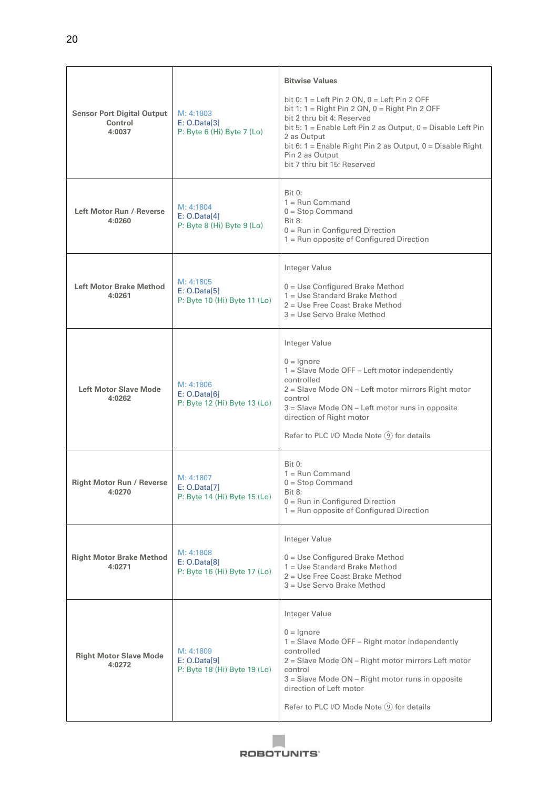| <b>Sensor Port Digital Output</b><br>Control<br>4:0037 | M: 4:1803<br>E: O.Data[3]<br>P: Byte $6$ (Hi) Byte $7$ (Lo) | <b>Bitwise Values</b><br>bit 0: $1 = \text{Left Pin 2 ON}$ , $0 = \text{Left Pin 2 OFF}$<br>bit 1: $1 =$ Right Pin 2 ON, $0 =$ Right Pin 2 OFF<br>bit 2 thru bit 4: Reserved<br>bit 5: $1 =$ Enable Left Pin 2 as Output, $0 =$ Disable Left Pin<br>2 as Output<br>bit 6: $1 =$ Enable Right Pin 2 as Output, $0 =$ Disable Right<br>Pin 2 as Output<br>bit 7 thru bit 15: Reserved |  |
|--------------------------------------------------------|-------------------------------------------------------------|-------------------------------------------------------------------------------------------------------------------------------------------------------------------------------------------------------------------------------------------------------------------------------------------------------------------------------------------------------------------------------------|--|
| Left Motor Run / Reverse<br>4:0260                     | M: 4:1804<br>E: O.Data[4]<br>P: Byte 8 (Hi) Byte 9 (Lo)     | <b>Bit 0:</b><br>$1 =$ Run Command<br>$0 = Stop Command$<br><b>Bit 8:</b><br>$0 =$ Run in Configured Direction<br>1 = Run opposite of Configured Direction                                                                                                                                                                                                                          |  |
| <b>Left Motor Brake Method</b><br>4:0261               | M: 4:1805<br>E: O.Data[5]<br>P: Byte 10 (Hi) Byte 11 (Lo)   | Integer Value<br>0 = Use Configured Brake Method<br>1 = Use Standard Brake Method<br>2 = Use Free Coast Brake Method<br>3 = Use Servo Brake Method                                                                                                                                                                                                                                  |  |
| <b>Left Motor Slave Mode</b><br>4:0262                 | M: 4:1806<br>E: O.Data[6]<br>P: Byte 12 (Hi) Byte 13 (Lo)   | Integer Value<br>$0 =$ Ignore<br>1 = Slave Mode OFF - Left motor independently<br>controlled<br>2 = Slave Mode ON - Left motor mirrors Right motor<br>control<br>$3 =$ Slave Mode ON $-$ Left motor runs in opposite<br>direction of Right motor<br>Refer to PLC I/O Mode Note (9) for details                                                                                      |  |
| <b>Right Motor Run / Reverse</b><br>4:0270             | M: 4:1807<br>E: O.Data[7]<br>P: Byte 14 (Hi) Byte 15 (Lo)   | <b>Bit 0:</b><br>$1 =$ Run Command<br>$0 = Stop$ Command<br><b>Bit 8:</b><br>$0 =$ Run in Configured Direction<br>$1 =$ Run opposite of Configured Direction                                                                                                                                                                                                                        |  |
| <b>Right Motor Brake Method</b><br>4:0271              | M: 4:1808<br>E: O.Data[8]<br>P: Byte 16 (Hi) Byte 17 (Lo)   | Integer Value<br>$0 = Use$ Configured Brake Method<br>1 = Use Standard Brake Method<br>2 = Use Free Coast Brake Method<br>3 = Use Servo Brake Method                                                                                                                                                                                                                                |  |
| <b>Right Motor Slave Mode</b><br>4:0272                | M: 4:1809<br>E: O.Data[9]<br>P: Byte 18 (Hi) Byte 19 (Lo)   | Integer Value<br>$0 =$ Ignore<br>1 = Slave Mode OFF - Right motor independently<br>controlled<br>2 = Slave Mode ON - Right motor mirrors Left motor<br>control<br>3 = Slave Mode ON - Right motor runs in opposite<br>direction of Left motor<br>Refer to PLC I/O Mode Note ⑨ for details                                                                                           |  |

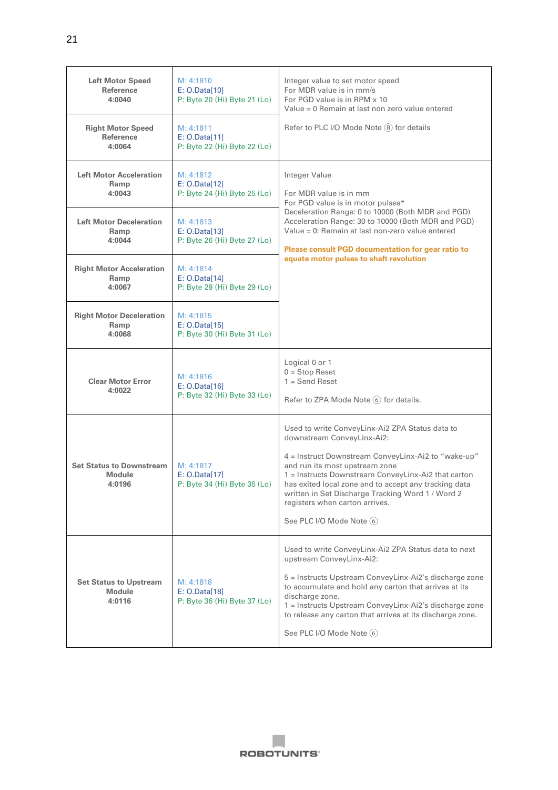| <b>Left Motor Speed</b><br>Reference<br>4:0040             | M: 4:1810<br>E: O.Data[10]<br>P: Byte 20 (Hi) Byte 21 (Lo) | Integer value to set motor speed<br>For MDR value is in mm/s<br>For PGD value is in RPM x 10<br>Value = 0 Remain at last non zero value entered                                                                                                                                                                                                                                                            |  |
|------------------------------------------------------------|------------------------------------------------------------|------------------------------------------------------------------------------------------------------------------------------------------------------------------------------------------------------------------------------------------------------------------------------------------------------------------------------------------------------------------------------------------------------------|--|
| <b>Right Motor Speed</b><br>Reference<br>4:0064            | M: 4:1811<br>E: O.Data[11]<br>P: Byte 22 (Hi) Byte 22 (Lo) | Refer to PLC I/O Mode Note (8) for details                                                                                                                                                                                                                                                                                                                                                                 |  |
| <b>Left Motor Acceleration</b><br>Ramp<br>4:0043           | M: 4:1812<br>E: O.Data[12]<br>P: Byte 24 (Hi) Byte 25 (Lo) | Integer Value<br>For MDR value is in mm<br>For PGD value is in motor pulses*                                                                                                                                                                                                                                                                                                                               |  |
| <b>Left Motor Deceleration</b><br>Ramp<br>4:0044           | M: 4:1813<br>E: O.Data[13]<br>P: Byte 26 (Hi) Byte 27 (Lo) | Deceleration Range: 0 to 10000 (Both MDR and PGD)<br>Acceleration Range: 30 to 10000 (Both MDR and PGD)<br>Value = 0: Remain at last non-zero value entered<br>Please consult PGD documentation for gear ratio to                                                                                                                                                                                          |  |
| <b>Right Motor Acceleration</b><br>Ramp<br>4:0067          | M: 4:1814<br>E: O.Data[14]<br>P: Byte 28 (Hi) Byte 29 (Lo) | equate motor pulses to shaft revolution                                                                                                                                                                                                                                                                                                                                                                    |  |
| <b>Right Motor Deceleration</b><br>Ramp<br>4:0068          | M: 4:1815<br>E: O.Data[15]<br>P: Byte 30 (Hi) Byte 31 (Lo) |                                                                                                                                                                                                                                                                                                                                                                                                            |  |
| <b>Clear Motor Error</b><br>4:0022                         | M: 4:1816<br>E: O.Data[16]<br>P: Byte 32 (Hi) Byte 33 (Lo) | Logical 0 or 1<br>$0 = Stop$ Reset<br>$1 =$ Send Reset<br>Refer to ZPA Mode Note 6 for details.                                                                                                                                                                                                                                                                                                            |  |
| <b>Set Status to Downstream</b><br><b>Module</b><br>4:0196 | M: 4:1817<br>E: 0.Data[17]<br>P: Byte 34 (Hi) Byte 35 (Lo) | Used to write ConveyLinx-Ai2 ZPA Status data to<br>downstream ConveyLinx-Ai2:<br>4 = Instruct Downstream ConveyLinx-Ai2 to "wake-up"<br>and run its most upstream zone<br>1 = Instructs Downstream ConveyLinx-Ai2 that carton<br>has exited local zone and to accept any tracking data<br>written in Set Discharge Tracking Word 1 / Word 2<br>registers when carton arrives.<br>See PLC I/O Mode Note (6) |  |
| <b>Set Status to Upstream</b><br><b>Module</b><br>4:0116   | M: 4:1818<br>E: O.Data[18]<br>P: Byte 36 (Hi) Byte 37 (Lo) | Used to write ConveyLinx-Ai2 ZPA Status data to next<br>upstream ConveyLinx-Ai2:<br>5 = Instructs Upstream ConveyLinx-Ai2's discharge zone<br>to accumulate and hold any carton that arrives at its<br>discharge zone.<br>1 = Instructs Upstream ConveyLinx-Ai2's discharge zone<br>to release any carton that arrives at its discharge zone.<br>See PLC I/O Mode Note 6                                   |  |

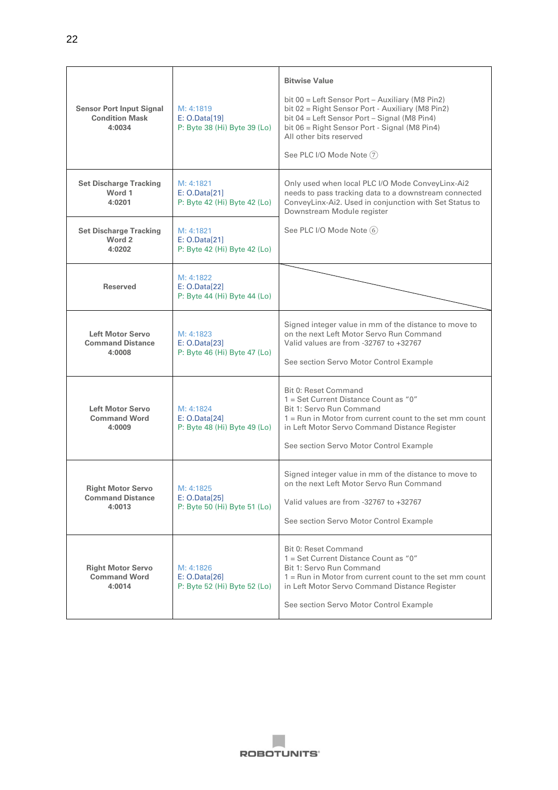| <b>Sensor Port Input Signal</b><br><b>Condition Mask</b><br>4:0034 | M: 4:1819<br>E: O.Data[19]<br>P: Byte 38 (Hi) Byte 39 (Lo) | <b>Bitwise Value</b><br>bit 00 = Left Sensor Port - Auxiliary (M8 Pin2)<br>bit 02 = Right Sensor Port - Auxiliary (M8 Pin2)<br>bit 04 = Left Sensor Port - Signal (M8 Pin4)<br>bit 06 = Right Sensor Port - Signal (M8 Pin4)<br>All other bits reserved<br>See PLC I/O Mode Note (7) |  |
|--------------------------------------------------------------------|------------------------------------------------------------|--------------------------------------------------------------------------------------------------------------------------------------------------------------------------------------------------------------------------------------------------------------------------------------|--|
| <b>Set Discharge Tracking</b><br>Word 1<br>4:0201                  | M: 4:1821<br>E: O.Data[21]<br>P: Byte 42 (Hi) Byte 42 (Lo) | Only used when local PLC I/O Mode ConveyLinx-Ai2<br>needs to pass tracking data to a downstream connected<br>ConveyLinx-Ai2. Used in conjunction with Set Status to<br>Downstream Module register                                                                                    |  |
| <b>Set Discharge Tracking</b><br>Word 2<br>4:0202                  | M: 4:1821<br>E: 0.Data[21]<br>P: Byte 42 (Hi) Byte 42 (Lo) | See PLC I/O Mode Note (6)                                                                                                                                                                                                                                                            |  |
| Reserved                                                           | M: 4:1822<br>E: 0.Data[22]<br>P: Byte 44 (Hi) Byte 44 (Lo) |                                                                                                                                                                                                                                                                                      |  |
| <b>Left Motor Servo</b><br><b>Command Distance</b><br>4:0008       | M: 4:1823<br>E: 0.Data[23]<br>P: Byte 46 (Hi) Byte 47 (Lo) | Signed integer value in mm of the distance to move to<br>on the next Left Motor Servo Run Command<br>Valid values are from -32767 to +32767<br>See section Servo Motor Control Example                                                                                               |  |
| <b>Left Motor Servo</b><br><b>Command Word</b><br>4:0009           | M: 4:1824<br>E: 0.Data[24]<br>P: Byte 48 (Hi) Byte 49 (Lo) | Bit 0: Reset Command<br>1 = Set Current Distance Count as "0"<br>Bit 1: Servo Run Command<br>1 = Run in Motor from current count to the set mm count<br>in Left Motor Servo Command Distance Register<br>See section Servo Motor Control Example                                     |  |
| <b>Right Motor Servo</b><br><b>Command Distance</b><br>4:0013      | M: 4:1825<br>E: 0.Data[25]<br>P: Byte 50 (Hi) Byte 51 (Lo) | Signed integer value in mm of the distance to move to<br>on the next Left Motor Servo Run Command<br>Valid values are from -32767 to +32767<br>See section Servo Motor Control Example                                                                                               |  |
| <b>Right Motor Servo</b><br><b>Command Word</b><br>4:0014          | M: 4:1826<br>E: O.Data[26]<br>P: Byte 52 (Hi) Byte 52 (Lo) | Bit 0: Reset Command<br>1 = Set Current Distance Count as "0"<br>Bit 1: Servo Run Command<br>$1 =$ Run in Motor from current count to the set mm count<br>in Left Motor Servo Command Distance Register<br>See section Servo Motor Control Example                                   |  |

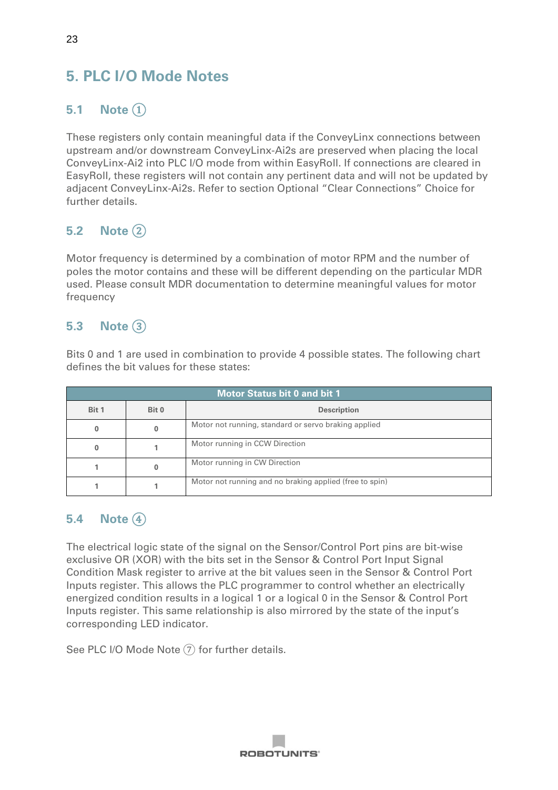# <span id="page-23-0"></span>**5. PLC I/O Mode Notes**

### <span id="page-23-1"></span>**5.1 Note** ①

These registers only contain meaningful data if the ConveyLinx connections between upstream and/or downstream ConveyLinx-Ai2s are preserved when placing the local ConveyLinx-Ai2 into PLC I/O mode from within EasyRoll. If connections are cleared in EasyRoll, these registers will not contain any pertinent data and will not be updated by adjacent ConveyLinx-Ai2s. Refer to section Optional "Clear Connections" Choice for further details.

### <span id="page-23-2"></span>**5.2 Note** ②

Motor frequency is determined by a combination of motor RPM and the number of poles the motor contains and these will be different depending on the particular MDR used. Please consult MDR documentation to determine meaningful values for motor frequency

### <span id="page-23-3"></span>**5.3 Note** ③

Bits 0 and 1 are used in combination to provide 4 possible states. The following chart defines the bit values for these states:

| <b>Motor Status bit 0 and bit 1</b> |       |                                                         |  |
|-------------------------------------|-------|---------------------------------------------------------|--|
| Bit 1                               | Bit 0 | <b>Description</b>                                      |  |
|                                     |       | Motor not running, standard or servo braking applied    |  |
|                                     |       | Motor running in CCW Direction                          |  |
|                                     |       | Motor running in CW Direction                           |  |
|                                     |       | Motor not running and no braking applied (free to spin) |  |

#### <span id="page-23-4"></span>**5.4 Note** ④

The electrical logic state of the signal on the Sensor/Control Port pins are bit-wise exclusive OR (XOR) with the bits set in the Sensor & Control Port Input Signal Condition Mask register to arrive at the bit values seen in the Sensor & Control Port Inputs register. This allows the PLC programmer to control whether an electrically energized condition results in a logical 1 or a logical 0 in the Sensor & Control Port Inputs register. This same relationship is also mirrored by the state of the input's corresponding LED indicator.

See PLC I/O Mode Note  $(7)$  for further details.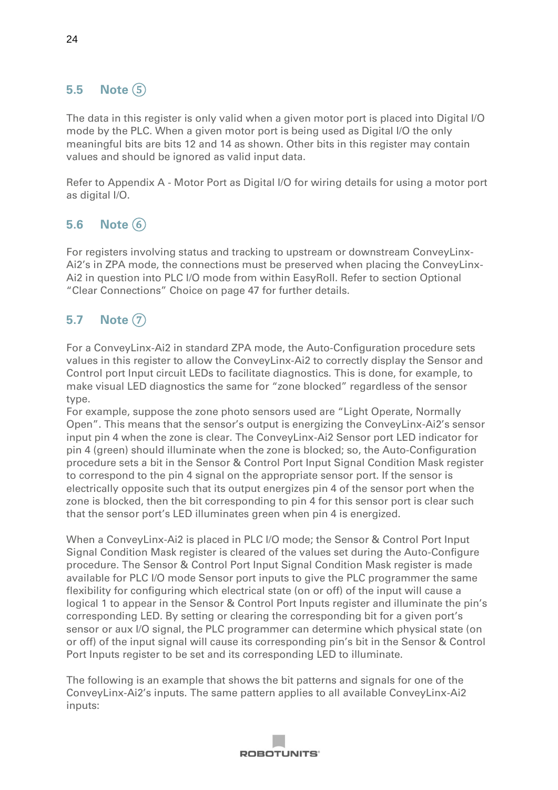### <span id="page-24-0"></span>**5.5 Note** ⑤

The data in this register is only valid when a given motor port is placed into Digital I/O mode by the PLC. When a given motor port is being used as Digital I/O the only meaningful bits are bits 12 and 14 as shown. Other bits in this register may contain values and should be ignored as valid input data.

Refer to Appendix A - Motor Port as Digital I/O for wiring details for using a motor port as digital I/O.

# <span id="page-24-1"></span>**5.6 Note** ⑥

For registers involving status and tracking to upstream or downstream ConveyLinx-Ai2's in ZPA mode, the connections must be preserved when placing the ConveyLinx-Ai2 in question into PLC I/O mode from within EasyRoll. Refer to section Optional "Clear Connections" Choice on page 47 for further details.

# <span id="page-24-2"></span>**5.7 Note** ⑦

For a ConveyLinx-Ai2 in standard ZPA mode, the Auto-Configuration procedure sets values in this register to allow the ConveyLinx-Ai2 to correctly display the Sensor and Control port Input circuit LEDs to facilitate diagnostics. This is done, for example, to make visual LED diagnostics the same for "zone blocked" regardless of the sensor type.

For example, suppose the zone photo sensors used are "Light Operate, Normally Open". This means that the sensor's output is energizing the ConveyLinx-Ai2's sensor input pin 4 when the zone is clear. The ConveyLinx-Ai2 Sensor port LED indicator for pin 4 (green) should illuminate when the zone is blocked; so, the Auto-Configuration procedure sets a bit in the Sensor & Control Port Input Signal Condition Mask register to correspond to the pin 4 signal on the appropriate sensor port. If the sensor is electrically opposite such that its output energizes pin 4 of the sensor port when the zone is blocked, then the bit corresponding to pin 4 for this sensor port is clear such that the sensor port's LED illuminates green when pin 4 is energized.

When a ConveyLinx-Ai2 is placed in PLC I/O mode; the Sensor & Control Port Input Signal Condition Mask register is cleared of the values set during the Auto-Configure procedure. The Sensor & Control Port Input Signal Condition Mask register is made available for PLC I/O mode Sensor port inputs to give the PLC programmer the same flexibility for configuring which electrical state (on or off) of the input will cause a logical 1 to appear in the Sensor & Control Port Inputs register and illuminate the pin's corresponding LED. By setting or clearing the corresponding bit for a given port's sensor or aux I/O signal, the PLC programmer can determine which physical state (on or off) of the input signal will cause its corresponding pin's bit in the Sensor & Control Port Inputs register to be set and its corresponding LED to illuminate.

The following is an example that shows the bit patterns and signals for one of the ConveyLinx-Ai2's inputs. The same pattern applies to all available ConveyLinx-Ai2 inputs:

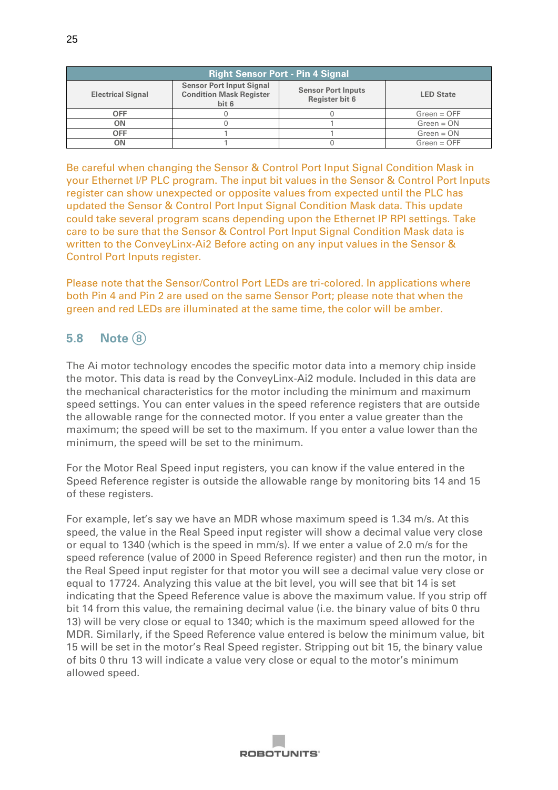| <b>Right Sensor Port - Pin 4 Signal</b> |                                                                            |                                             |                  |
|-----------------------------------------|----------------------------------------------------------------------------|---------------------------------------------|------------------|
| <b>Electrical Signal</b>                | <b>Sensor Port Input Signal</b><br><b>Condition Mask Register</b><br>bit 6 | <b>Sensor Port Inputs</b><br>Register bit 6 | <b>LED State</b> |
| <b>OFF</b>                              |                                                                            |                                             | $Green = OFF$    |
| ΟN                                      |                                                                            |                                             | $Green = ON$     |
| OFF                                     |                                                                            |                                             | $Green = ON$     |
|                                         |                                                                            |                                             | $Green = OFF$    |

Be careful when changing the Sensor & Control Port Input Signal Condition Mask in your Ethernet I/P PLC program. The input bit values in the Sensor & Control Port Inputs register can show unexpected or opposite values from expected until the PLC has updated the Sensor & Control Port Input Signal Condition Mask data. This update could take several program scans depending upon the Ethernet IP RPI settings. Take care to be sure that the Sensor & Control Port Input Signal Condition Mask data is written to the ConveyLinx-Ai2 Before acting on any input values in the Sensor & Control Port Inputs register.

Please note that the Sensor/Control Port LEDs are tri-colored. In applications where both Pin 4 and Pin 2 are used on the same Sensor Port; please note that when the green and red LEDs are illuminated at the same time, the color will be amber.

#### <span id="page-25-0"></span>**5.8 Note** ⑧

The Ai motor technology encodes the specific motor data into a memory chip inside the motor. This data is read by the ConveyLinx-Ai2 module. Included in this data are the mechanical characteristics for the motor including the minimum and maximum speed settings. You can enter values in the speed reference registers that are outside the allowable range for the connected motor. If you enter a value greater than the maximum; the speed will be set to the maximum. If you enter a value lower than the minimum, the speed will be set to the minimum.

For the Motor Real Speed input registers, you can know if the value entered in the Speed Reference register is outside the allowable range by monitoring bits 14 and 15 of these registers.

For example, let's say we have an MDR whose maximum speed is 1.34 m/s. At this speed, the value in the Real Speed input register will show a decimal value very close or equal to 1340 (which is the speed in mm/s). If we enter a value of 2.0 m/s for the speed reference (value of 2000 in Speed Reference register) and then run the motor, in the Real Speed input register for that motor you will see a decimal value very close or equal to 17724. Analyzing this value at the bit level, you will see that bit 14 is set indicating that the Speed Reference value is above the maximum value. If you strip off bit 14 from this value, the remaining decimal value (i.e. the binary value of bits 0 thru 13) will be very close or equal to 1340; which is the maximum speed allowed for the MDR. Similarly, if the Speed Reference value entered is below the minimum value, bit 15 will be set in the motor's Real Speed register. Stripping out bit 15, the binary value of bits 0 thru 13 will indicate a value very close or equal to the motor's minimum allowed speed.

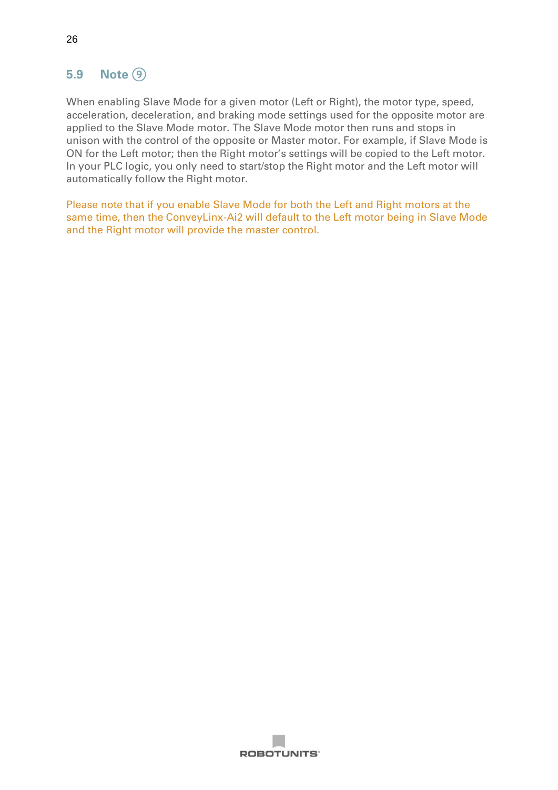### <span id="page-26-0"></span>**5.9 Note** ⑨

When enabling Slave Mode for a given motor (Left or Right), the motor type, speed, acceleration, deceleration, and braking mode settings used for the opposite motor are applied to the Slave Mode motor. The Slave Mode motor then runs and stops in unison with the control of the opposite or Master motor. For example, if Slave Mode is ON for the Left motor; then the Right motor's settings will be copied to the Left motor. In your PLC logic, you only need to start/stop the Right motor and the Left motor will automatically follow the Right motor.

Please note that if you enable Slave Mode for both the Left and Right motors at the same time, then the ConveyLinx-Ai2 will default to the Left motor being in Slave Mode and the Right motor will provide the master control.